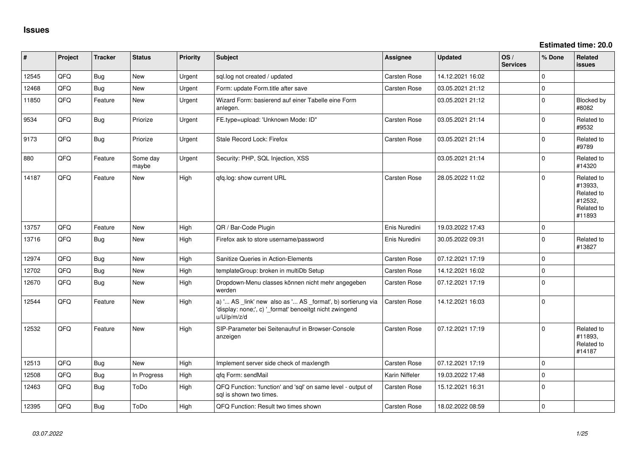**Estimated time: 20.0**

| #     | Project | <b>Tracker</b> | <b>Status</b>     | <b>Priority</b> | <b>Subject</b>                                                                                                                        | Assignee       | <b>Updated</b>   | OS/<br><b>Services</b> | % Done      | Related<br><b>issues</b>                                               |
|-------|---------|----------------|-------------------|-----------------|---------------------------------------------------------------------------------------------------------------------------------------|----------------|------------------|------------------------|-------------|------------------------------------------------------------------------|
| 12545 | QFQ     | Bug            | New               | Urgent          | sql.log not created / updated                                                                                                         | Carsten Rose   | 14.12.2021 16:02 |                        | $\Omega$    |                                                                        |
| 12468 | QFQ     | Bug            | <b>New</b>        | Urgent          | Form: update Form.title after save                                                                                                    | Carsten Rose   | 03.05.2021 21:12 |                        | $\pmb{0}$   |                                                                        |
| 11850 | QFQ     | Feature        | <b>New</b>        | Urgent          | Wizard Form: basierend auf einer Tabelle eine Form<br>anlegen.                                                                        |                | 03.05.2021 21:12 |                        | $\mathbf 0$ | Blocked by<br>#8082                                                    |
| 9534  | QFQ     | <b>Bug</b>     | Priorize          | Urgent          | FE.type=upload: 'Unknown Mode: ID"                                                                                                    | Carsten Rose   | 03.05.2021 21:14 |                        | $\mathbf 0$ | Related to<br>#9532                                                    |
| 9173  | QFQ     | Bug            | Priorize          | Urgent          | Stale Record Lock: Firefox                                                                                                            | Carsten Rose   | 03.05.2021 21:14 |                        | $\mathbf 0$ | Related to<br>#9789                                                    |
| 880   | QFQ     | Feature        | Some day<br>maybe | Urgent          | Security: PHP, SQL Injection, XSS                                                                                                     |                | 03.05.2021 21:14 |                        | 0           | Related to<br>#14320                                                   |
| 14187 | QFQ     | Feature        | New               | High            | qfq.log: show current URL                                                                                                             | Carsten Rose   | 28.05.2022 11:02 |                        | $\mathbf 0$ | Related to<br>#13933,<br>Related to<br>#12532,<br>Related to<br>#11893 |
| 13757 | QFQ     | Feature        | <b>New</b>        | High            | QR / Bar-Code Plugin                                                                                                                  | Enis Nuredini  | 19.03.2022 17:43 |                        | $\mathbf 0$ |                                                                        |
| 13716 | QFQ     | Bug            | <b>New</b>        | High            | Firefox ask to store username/password                                                                                                | Enis Nuredini  | 30.05.2022 09:31 |                        | $\mathbf 0$ | Related to<br>#13827                                                   |
| 12974 | QFQ     | Bug            | <b>New</b>        | High            | Sanitize Queries in Action-Elements                                                                                                   | Carsten Rose   | 07.12.2021 17:19 |                        | $\mathbf 0$ |                                                                        |
| 12702 | QFQ     | Bug            | <b>New</b>        | High            | templateGroup: broken in multiDb Setup                                                                                                | Carsten Rose   | 14.12.2021 16:02 |                        | $\mathbf 0$ |                                                                        |
| 12670 | QFQ     | Bug            | <b>New</b>        | High            | Dropdown-Menu classes können nicht mehr angegeben<br>werden                                                                           | Carsten Rose   | 07.12.2021 17:19 |                        | $\mathbf 0$ |                                                                        |
| 12544 | QFQ     | Feature        | <b>New</b>        | High            | a) ' AS _link' new also as ' AS _format', b) sortierung via<br>'display: none;', c) '_format' benoeitgt nicht zwingend<br>u/U/p/m/z/d | Carsten Rose   | 14.12.2021 16:03 |                        | $\mathbf 0$ |                                                                        |
| 12532 | QFQ     | Feature        | <b>New</b>        | High            | SIP-Parameter bei Seitenaufruf in Browser-Console<br>anzeigen                                                                         | Carsten Rose   | 07.12.2021 17:19 |                        | $\mathbf 0$ | Related to<br>#11893,<br>Related to<br>#14187                          |
| 12513 | QFQ     | Bug            | <b>New</b>        | High            | Implement server side check of maxlength                                                                                              | Carsten Rose   | 07.12.2021 17:19 |                        | $\mathbf 0$ |                                                                        |
| 12508 | QFQ     | <b>Bug</b>     | In Progress       | High            | qfq Form: sendMail                                                                                                                    | Karin Niffeler | 19.03.2022 17:48 |                        | $\mathbf 0$ |                                                                        |
| 12463 | QFQ     | Bug            | ToDo              | High            | QFQ Function: 'function' and 'sql' on same level - output of<br>sql is shown two times.                                               | Carsten Rose   | 15.12.2021 16:31 |                        | $\mathbf 0$ |                                                                        |
| 12395 | QFQ     | Bug            | ToDo              | High            | QFQ Function: Result two times shown                                                                                                  | Carsten Rose   | 18.02.2022 08:59 |                        | $\mathbf 0$ |                                                                        |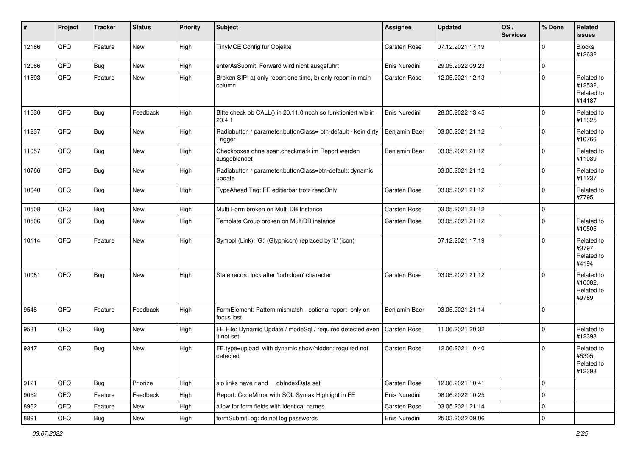| #     | Project | <b>Tracker</b> | <b>Status</b> | <b>Priority</b> | <b>Subject</b>                                                           | Assignee            | <b>Updated</b>   | OS/<br><b>Services</b> | % Done         | Related<br>issues                             |
|-------|---------|----------------|---------------|-----------------|--------------------------------------------------------------------------|---------------------|------------------|------------------------|----------------|-----------------------------------------------|
| 12186 | QFQ     | Feature        | <b>New</b>    | High            | TinyMCE Config für Objekte                                               | Carsten Rose        | 07.12.2021 17:19 |                        | $\mathbf 0$    | <b>Blocks</b><br>#12632                       |
| 12066 | QFQ     | Bug            | New           | High            | enterAsSubmit: Forward wird nicht ausgeführt                             | Enis Nuredini       | 29.05.2022 09:23 |                        | $\mathbf 0$    |                                               |
| 11893 | QFQ     | Feature        | New           | High            | Broken SIP: a) only report one time, b) only report in main<br>column    | Carsten Rose        | 12.05.2021 12:13 |                        | $\mathbf 0$    | Related to<br>#12532,<br>Related to<br>#14187 |
| 11630 | QFQ     | Bug            | Feedback      | High            | Bitte check ob CALL() in 20.11.0 noch so funktioniert wie in<br>20.4.1   | Enis Nuredini       | 28.05.2022 13:45 |                        | $\mathbf 0$    | Related to<br>#11325                          |
| 11237 | QFQ     | Bug            | New           | High            | Radiobutton / parameter.buttonClass= btn-default - kein dirty<br>Trigger | Benjamin Baer       | 03.05.2021 21:12 |                        | 0              | Related to<br>#10766                          |
| 11057 | QFQ     | Bug            | New           | High            | Checkboxes ohne span.checkmark im Report werden<br>ausgeblendet          | Benjamin Baer       | 03.05.2021 21:12 |                        | $\mathbf 0$    | Related to<br>#11039                          |
| 10766 | QFQ     | Bug            | New           | High            | Radiobutton / parameter.buttonClass=btn-default: dynamic<br>update       |                     | 03.05.2021 21:12 |                        | $\mathbf 0$    | Related to<br>#11237                          |
| 10640 | QFQ     | Bug            | New           | High            | TypeAhead Tag: FE editierbar trotz readOnly                              | <b>Carsten Rose</b> | 03.05.2021 21:12 |                        | $\mathbf 0$    | Related to<br>#7795                           |
| 10508 | QFQ     | Bug            | New           | High            | Multi Form broken on Multi DB Instance                                   | Carsten Rose        | 03.05.2021 21:12 |                        | $\mathbf 0$    |                                               |
| 10506 | QFQ     | Bug            | New           | High            | Template Group broken on MultiDB instance                                | Carsten Rose        | 03.05.2021 21:12 |                        | $\mathbf 0$    | Related to<br>#10505                          |
| 10114 | QFQ     | Feature        | New           | High            | Symbol (Link): 'G:' (Glyphicon) replaced by 'i:' (icon)                  |                     | 07.12.2021 17:19 |                        | $\mathbf 0$    | Related to<br>#3797,<br>Related to<br>#4194   |
| 10081 | QFQ     | Bug            | New           | High            | Stale record lock after 'forbidden' character                            | Carsten Rose        | 03.05.2021 21:12 |                        | $\mathbf 0$    | Related to<br>#10082.<br>Related to<br>#9789  |
| 9548  | QFQ     | Feature        | Feedback      | High            | FormElement: Pattern mismatch - optional report only on<br>focus lost    | Benjamin Baer       | 03.05.2021 21:14 |                        | $\overline{0}$ |                                               |
| 9531  | QFQ     | Bug            | New           | High            | FE File: Dynamic Update / modeSql / required detected even<br>it not set | Carsten Rose        | 11.06.2021 20:32 |                        | $\mathbf 0$    | Related to<br>#12398                          |
| 9347  | QFQ     | Bug            | <b>New</b>    | High            | FE.type=upload with dynamic show/hidden: required not<br>detected        | Carsten Rose        | 12.06.2021 10:40 |                        | $\Omega$       | Related to<br>#5305,<br>Related to<br>#12398  |
| 9121  | QFQ     | Bug            | Priorize      | High            | sip links have r and __dbIndexData set                                   | Carsten Rose        | 12.06.2021 10:41 |                        | $\mathbf 0$    |                                               |
| 9052  | QFQ     | Feature        | Feedback      | High            | Report: CodeMirror with SQL Syntax Highlight in FE                       | Enis Nuredini       | 08.06.2022 10:25 |                        | $\pmb{0}$      |                                               |
| 8962  | QFQ     | Feature        | New           | High            | allow for form fields with identical names                               | Carsten Rose        | 03.05.2021 21:14 |                        | $\pmb{0}$      |                                               |
| 8891  | QFQ     | Bug            | New           | High            | formSubmitLog: do not log passwords                                      | Enis Nuredini       | 25.03.2022 09:06 |                        | $\mathbf 0$    |                                               |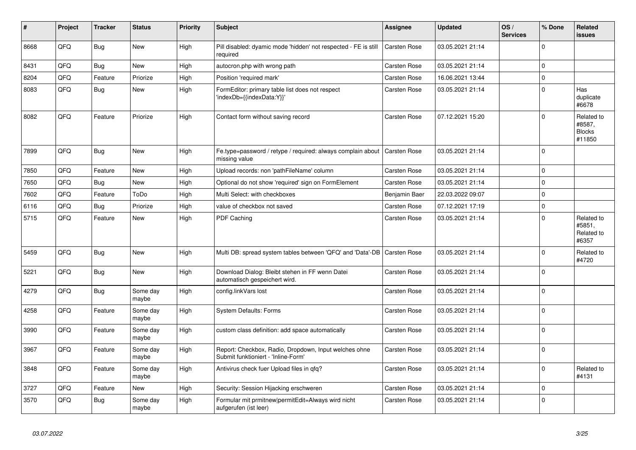| #    | Project | <b>Tracker</b> | <b>Status</b>     | <b>Priority</b> | <b>Subject</b>                                                                               | Assignee            | <b>Updated</b>   | OS/<br><b>Services</b> | % Done      | Related<br>issues                               |
|------|---------|----------------|-------------------|-----------------|----------------------------------------------------------------------------------------------|---------------------|------------------|------------------------|-------------|-------------------------------------------------|
| 8668 | QFQ     | Bug            | <b>New</b>        | High            | Pill disabled: dyamic mode 'hidden' not respected - FE is still<br>required                  | Carsten Rose        | 03.05.2021 21:14 |                        | $\Omega$    |                                                 |
| 8431 | QFQ     | Bug            | New               | High            | autocron.php with wrong path                                                                 | Carsten Rose        | 03.05.2021 21:14 |                        | $\mathbf 0$ |                                                 |
| 8204 | QFQ     | Feature        | Priorize          | High            | Position 'required mark'                                                                     | Carsten Rose        | 16.06.2021 13:44 |                        | $\Omega$    |                                                 |
| 8083 | QFQ     | <b>Bug</b>     | <b>New</b>        | High            | FormEditor: primary table list does not respect<br>'indexDb={{indexData:Y}}'                 | Carsten Rose        | 03.05.2021 21:14 |                        | $\Omega$    | Has<br>duplicate<br>#6678                       |
| 8082 | QFQ     | Feature        | Priorize          | High            | Contact form without saving record                                                           | Carsten Rose        | 07.12.2021 15:20 |                        | $\Omega$    | Related to<br>#8587,<br><b>Blocks</b><br>#11850 |
| 7899 | QFQ     | <b>Bug</b>     | <b>New</b>        | High            | Fe.type=password / retype / required: always complain about<br>missing value                 | <b>Carsten Rose</b> | 03.05.2021 21:14 |                        | $\Omega$    |                                                 |
| 7850 | QFQ     | Feature        | <b>New</b>        | High            | Upload records: non 'pathFileName' column                                                    | Carsten Rose        | 03.05.2021 21:14 |                        | $\mathbf 0$ |                                                 |
| 7650 | QFQ     | Bug            | <b>New</b>        | High            | Optional do not show 'required' sign on FormElement                                          | Carsten Rose        | 03.05.2021 21:14 |                        | $\Omega$    |                                                 |
| 7602 | QFQ     | Feature        | ToDo              | High            | Multi Select: with checkboxes                                                                | Benjamin Baer       | 22.03.2022 09:07 |                        | $\mathbf 0$ |                                                 |
| 6116 | QFQ     | Bug            | Priorize          | High            | value of checkbox not saved                                                                  | Carsten Rose        | 07.12.2021 17:19 |                        | $\mathbf 0$ |                                                 |
| 5715 | QFQ     | Feature        | New               | High            | PDF Caching                                                                                  | Carsten Rose        | 03.05.2021 21:14 |                        | $\mathbf 0$ | Related to<br>#5851,<br>Related to<br>#6357     |
| 5459 | QFQ     | Bug            | <b>New</b>        | High            | Multi DB: spread system tables between 'QFQ' and 'Data'-DB   Carsten Rose                    |                     | 03.05.2021 21:14 |                        | $\Omega$    | Related to<br>#4720                             |
| 5221 | QFQ     | <b>Bug</b>     | New               | High            | Download Dialog: Bleibt stehen in FF wenn Datei<br>automatisch gespeichert wird.             | Carsten Rose        | 03.05.2021 21:14 |                        | $\mathbf 0$ |                                                 |
| 4279 | QFQ     | Bug            | Some day<br>maybe | High            | config.linkVars lost                                                                         | Carsten Rose        | 03.05.2021 21:14 |                        | $\mathbf 0$ |                                                 |
| 4258 | QFQ     | Feature        | Some day<br>maybe | High            | <b>System Defaults: Forms</b>                                                                | Carsten Rose        | 03.05.2021 21:14 |                        | $\mathbf 0$ |                                                 |
| 3990 | QFQ     | Feature        | Some day<br>maybe | High            | custom class definition: add space automatically                                             | Carsten Rose        | 03.05.2021 21:14 |                        | $\mathbf 0$ |                                                 |
| 3967 | QFQ     | Feature        | Some day<br>maybe | High            | Report: Checkbox, Radio, Dropdown, Input welches ohne<br>Submit funktioniert - 'Inline-Form' | Carsten Rose        | 03.05.2021 21:14 |                        | $\pmb{0}$   |                                                 |
| 3848 | QFQ     | Feature        | Some day<br>maybe | High            | Antivirus check fuer Upload files in qfq?                                                    | Carsten Rose        | 03.05.2021 21:14 |                        | $\Omega$    | Related to<br>#4131                             |
| 3727 | QFQ     | Feature        | <b>New</b>        | High            | Security: Session Hijacking erschweren                                                       | Carsten Rose        | 03.05.2021 21:14 |                        | $\mathbf 0$ |                                                 |
| 3570 | QFQ     | Bug            | Some day<br>maybe | High            | Formular mit prmitnew permitEdit=Always wird nicht<br>aufgerufen (ist leer)                  | Carsten Rose        | 03.05.2021 21:14 |                        | $\mathbf 0$ |                                                 |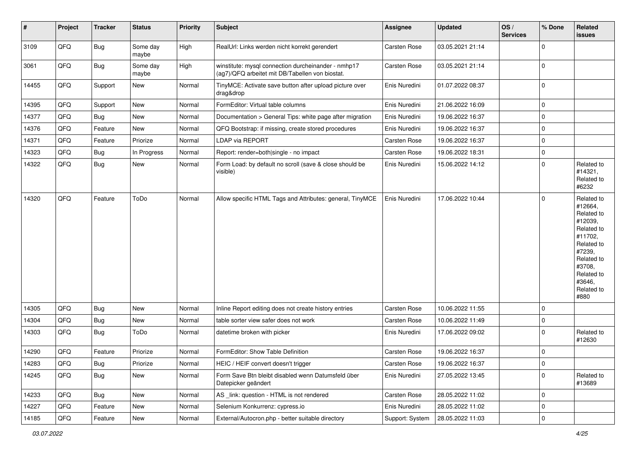| #     | Project | <b>Tracker</b> | <b>Status</b>     | <b>Priority</b> | Subject                                                                                                | Assignee            | <b>Updated</b>   | OS/<br><b>Services</b> | % Done      | Related<br><b>issues</b>                                                                                                                                              |
|-------|---------|----------------|-------------------|-----------------|--------------------------------------------------------------------------------------------------------|---------------------|------------------|------------------------|-------------|-----------------------------------------------------------------------------------------------------------------------------------------------------------------------|
| 3109  | QFQ     | <b>Bug</b>     | Some day<br>maybe | High            | RealUrl: Links werden nicht korrekt gerendert                                                          | Carsten Rose        | 03.05.2021 21:14 |                        | $\Omega$    |                                                                                                                                                                       |
| 3061  | QFQ     | <b>Bug</b>     | Some day<br>maybe | High            | winstitute: mysql connection durcheinander - nmhp17<br>(ag7)/QFQ arbeitet mit DB/Tabellen von biostat. | Carsten Rose        | 03.05.2021 21:14 |                        | $\mathbf 0$ |                                                                                                                                                                       |
| 14455 | QFQ     | Support        | <b>New</b>        | Normal          | TinyMCE: Activate save button after upload picture over<br>drag&drop                                   | Enis Nuredini       | 01.07.2022 08:37 |                        | $\Omega$    |                                                                                                                                                                       |
| 14395 | QFQ     | Support        | New               | Normal          | FormEditor: Virtual table columns                                                                      | Enis Nuredini       | 21.06.2022 16:09 |                        | $\mathbf 0$ |                                                                                                                                                                       |
| 14377 | QFQ     | Bug            | New               | Normal          | Documentation > General Tips: white page after migration                                               | Enis Nuredini       | 19.06.2022 16:37 |                        | $\Omega$    |                                                                                                                                                                       |
| 14376 | QFQ     | Feature        | New               | Normal          | QFQ Bootstrap: if missing, create stored procedures                                                    | Enis Nuredini       | 19.06.2022 16:37 |                        | $\mathbf 0$ |                                                                                                                                                                       |
| 14371 | QFQ     | Feature        | Priorize          | Normal          | LDAP via REPORT                                                                                        | Carsten Rose        | 19.06.2022 16:37 |                        | 0           |                                                                                                                                                                       |
| 14323 | QFQ     | <b>Bug</b>     | In Progress       | Normal          | Report: render=both single - no impact                                                                 | Carsten Rose        | 19.06.2022 18:31 |                        | $\Omega$    |                                                                                                                                                                       |
| 14322 | QFQ     | <b>Bug</b>     | New               | Normal          | Form Load: by default no scroll (save & close should be<br>visible)                                    | Enis Nuredini       | 15.06.2022 14:12 |                        | $\Omega$    | Related to<br>#14321,<br>Related to<br>#6232                                                                                                                          |
| 14320 | QFQ     | Feature        | ToDo              | Normal          | Allow specific HTML Tags and Attributes: general, TinyMCE                                              | Enis Nuredini       | 17.06.2022 10:44 |                        | $\Omega$    | Related to<br>#12664,<br>Related to<br>#12039,<br>Related to<br>#11702,<br>Related to<br>#7239,<br>Related to<br>#3708.<br>Related to<br>#3646,<br>Related to<br>#880 |
| 14305 | QFQ     | Bug            | New               | Normal          | Inline Report editing does not create history entries                                                  | <b>Carsten Rose</b> | 10.06.2022 11:55 |                        | $\mathbf 0$ |                                                                                                                                                                       |
| 14304 | QFQ     | <b>Bug</b>     | New               | Normal          | table sorter view safer does not work                                                                  | Carsten Rose        | 10.06.2022 11:49 |                        | $\mathbf 0$ |                                                                                                                                                                       |
| 14303 | QFQ     | <b>Bug</b>     | ToDo              | Normal          | datetime broken with picker                                                                            | Enis Nuredini       | 17.06.2022 09:02 |                        | $\Omega$    | Related to<br>#12630                                                                                                                                                  |
| 14290 | QFQ     | Feature        | Priorize          | Normal          | FormEditor: Show Table Definition                                                                      | Carsten Rose        | 19.06.2022 16:37 |                        | $\mathbf 0$ |                                                                                                                                                                       |
| 14283 | QFQ     | Bug            | Priorize          | Normal          | HEIC / HEIF convert doesn't trigger                                                                    | Carsten Rose        | 19.06.2022 16:37 |                        | 0           |                                                                                                                                                                       |
| 14245 | QFQ     | <b>Bug</b>     | New               | Normal          | Form Save Btn bleibt disabled wenn Datumsfeld über<br>Datepicker geändert                              | Enis Nuredini       | 27.05.2022 13:45 |                        | 0           | Related to<br>#13689                                                                                                                                                  |
| 14233 | QFQ     | Bug            | New               | Normal          | AS _link: question - HTML is not rendered                                                              | Carsten Rose        | 28.05.2022 11:02 |                        | $\mathbf 0$ |                                                                                                                                                                       |
| 14227 | QFQ     | Feature        | New               | Normal          | Selenium Konkurrenz: cypress.io                                                                        | Enis Nuredini       | 28.05.2022 11:02 |                        | $\mathbf 0$ |                                                                                                                                                                       |
| 14185 | QFQ     | Feature        | New               | Normal          | External/Autocron.php - better suitable directory                                                      | Support: System     | 28.05.2022 11:03 |                        | $\mathbf 0$ |                                                                                                                                                                       |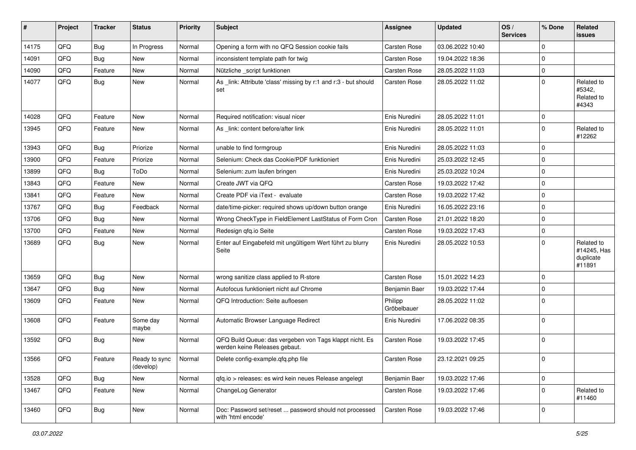| #     | Project | <b>Tracker</b> | <b>Status</b>              | <b>Priority</b> | Subject                                                                                  | <b>Assignee</b>        | <b>Updated</b>   | OS/<br><b>Services</b> | % Done         | Related<br>issues                                |
|-------|---------|----------------|----------------------------|-----------------|------------------------------------------------------------------------------------------|------------------------|------------------|------------------------|----------------|--------------------------------------------------|
| 14175 | QFQ     | <b>Bug</b>     | In Progress                | Normal          | Opening a form with no QFQ Session cookie fails                                          | Carsten Rose           | 03.06.2022 10:40 |                        | $\mathbf 0$    |                                                  |
| 14091 | QFQ     | <b>Bug</b>     | New                        | Normal          | inconsistent template path for twig                                                      | Carsten Rose           | 19.04.2022 18:36 |                        | $\mathbf 0$    |                                                  |
| 14090 | QFQ     | Feature        | <b>New</b>                 | Normal          | Nützliche _script funktionen                                                             | Carsten Rose           | 28.05.2022 11:03 |                        | $\overline{0}$ |                                                  |
| 14077 | QFQ     | Bug            | New                        | Normal          | As _link: Attribute 'class' missing by r:1 and r:3 - but should<br>set                   | Carsten Rose           | 28.05.2022 11:02 |                        | $\mathbf 0$    | Related to<br>#5342,<br>Related to<br>#4343      |
| 14028 | QFQ     | Feature        | New                        | Normal          | Required notification: visual nicer                                                      | Enis Nuredini          | 28.05.2022 11:01 |                        | $\overline{0}$ |                                                  |
| 13945 | QFQ     | Feature        | New                        | Normal          | As link: content before/after link                                                       | Enis Nuredini          | 28.05.2022 11:01 |                        | 0              | Related to<br>#12262                             |
| 13943 | QFQ     | Bug            | Priorize                   | Normal          | unable to find formgroup                                                                 | Enis Nuredini          | 28.05.2022 11:03 |                        | $\mathbf 0$    |                                                  |
| 13900 | QFQ     | Feature        | Priorize                   | Normal          | Selenium: Check das Cookie/PDF funktioniert                                              | Enis Nuredini          | 25.03.2022 12:45 |                        | $\overline{0}$ |                                                  |
| 13899 | QFQ     | <b>Bug</b>     | ToDo                       | Normal          | Selenium: zum laufen bringen                                                             | Enis Nuredini          | 25.03.2022 10:24 |                        | $\mathbf 0$    |                                                  |
| 13843 | QFQ     | Feature        | <b>New</b>                 | Normal          | Create JWT via QFQ                                                                       | Carsten Rose           | 19.03.2022 17:42 |                        | 0              |                                                  |
| 13841 | QFQ     | Feature        | New                        | Normal          | Create PDF via iText - evaluate                                                          | Carsten Rose           | 19.03.2022 17:42 |                        | $\overline{0}$ |                                                  |
| 13767 | QFQ     | <b>Bug</b>     | Feedback                   | Normal          | date/time-picker: required shows up/down button orange                                   | Enis Nuredini          | 16.05.2022 23:16 |                        | 0              |                                                  |
| 13706 | QFQ     | <b>Bug</b>     | <b>New</b>                 | Normal          | Wrong CheckType in FieldElement LastStatus of Form Cron                                  | Carsten Rose           | 21.01.2022 18:20 |                        | $\overline{0}$ |                                                  |
| 13700 | QFQ     | Feature        | New                        | Normal          | Redesign qfq.io Seite                                                                    | Carsten Rose           | 19.03.2022 17:43 |                        | $\overline{0}$ |                                                  |
| 13689 | QFQ     | Bug            | New                        | Normal          | Enter auf Eingabefeld mit ungültigem Wert führt zu blurry<br>Seite                       | Enis Nuredini          | 28.05.2022 10:53 |                        | 0              | Related to<br>#14245, Has<br>duplicate<br>#11891 |
| 13659 | QFQ     | Bug            | <b>New</b>                 | Normal          | wrong sanitize class applied to R-store                                                  | Carsten Rose           | 15.01.2022 14:23 |                        | $\overline{0}$ |                                                  |
| 13647 | QFQ     | <b>Bug</b>     | New                        | Normal          | Autofocus funktioniert nicht auf Chrome                                                  | Benjamin Baer          | 19.03.2022 17:44 |                        | 0              |                                                  |
| 13609 | QFQ     | Feature        | <b>New</b>                 | Normal          | QFQ Introduction: Seite aufloesen                                                        | Philipp<br>Gröbelbauer | 28.05.2022 11:02 |                        | 0              |                                                  |
| 13608 | QFQ     | Feature        | Some day<br>maybe          | Normal          | Automatic Browser Language Redirect                                                      | Enis Nuredini          | 17.06.2022 08:35 |                        | $\overline{0}$ |                                                  |
| 13592 | QFQ     | Bug            | New                        | Normal          | QFQ Build Queue: das vergeben von Tags klappt nicht. Es<br>werden keine Releases gebaut. | Carsten Rose           | 19.03.2022 17:45 |                        | 0              |                                                  |
| 13566 | QFQ     | Feature        | Ready to sync<br>(develop) | Normal          | Delete config-example.qfq.php file                                                       | Carsten Rose           | 23.12.2021 09:25 |                        | $\overline{0}$ |                                                  |
| 13528 | QFQ     | Bug            | New                        | Normal          | qfq.io > releases: es wird kein neues Release angelegt                                   | Benjamin Baer          | 19.03.2022 17:46 |                        | $\overline{0}$ |                                                  |
| 13467 | QFQ     | Feature        | New                        | Normal          | ChangeLog Generator                                                                      | Carsten Rose           | 19.03.2022 17:46 |                        | $\overline{0}$ | Related to<br>#11460                             |
| 13460 | QFQ     | Bug            | New                        | Normal          | Doc: Password set/reset  password should not processed<br>with 'html encode'             | Carsten Rose           | 19.03.2022 17:46 |                        | 0              |                                                  |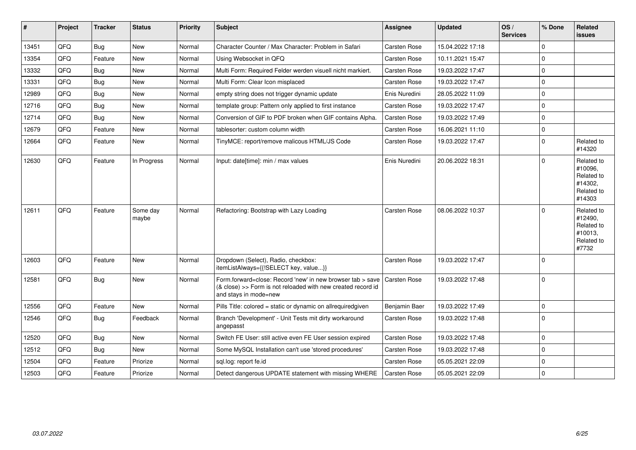| $\vert$ # | Project | <b>Tracker</b> | <b>Status</b>     | Priority | <b>Subject</b>                                                                                                                                      | Assignee            | <b>Updated</b>   | OS/<br><b>Services</b> | % Done       | <b>Related</b><br><b>issues</b>                                        |
|-----------|---------|----------------|-------------------|----------|-----------------------------------------------------------------------------------------------------------------------------------------------------|---------------------|------------------|------------------------|--------------|------------------------------------------------------------------------|
| 13451     | QFQ     | <b>Bug</b>     | <b>New</b>        | Normal   | Character Counter / Max Character: Problem in Safari                                                                                                | Carsten Rose        | 15.04.2022 17:18 |                        | $\mathbf{0}$ |                                                                        |
| 13354     | QFQ     | Feature        | <b>New</b>        | Normal   | Using Websocket in QFQ                                                                                                                              | Carsten Rose        | 10.11.2021 15:47 |                        | $\mathbf 0$  |                                                                        |
| 13332     | QFQ     | Bug            | New               | Normal   | Multi Form: Required Felder werden visuell nicht markiert.                                                                                          | Carsten Rose        | 19.03.2022 17:47 |                        | $\mathbf 0$  |                                                                        |
| 13331     | QFQ     | Bug            | New               | Normal   | Multi Form: Clear Icon misplaced                                                                                                                    | Carsten Rose        | 19.03.2022 17:47 |                        | $\mathbf 0$  |                                                                        |
| 12989     | QFQ     | Bug            | <b>New</b>        | Normal   | empty string does not trigger dynamic update                                                                                                        | Enis Nuredini       | 28.05.2022 11:09 |                        | $\mathbf 0$  |                                                                        |
| 12716     | QFQ     | <b>Bug</b>     | <b>New</b>        | Normal   | template group: Pattern only applied to first instance                                                                                              | Carsten Rose        | 19.03.2022 17:47 |                        | $\mathbf 0$  |                                                                        |
| 12714     | QFQ     | Bug            | <b>New</b>        | Normal   | Conversion of GIF to PDF broken when GIF contains Alpha.                                                                                            | Carsten Rose        | 19.03.2022 17:49 |                        | $\mathbf 0$  |                                                                        |
| 12679     | QFQ     | Feature        | <b>New</b>        | Normal   | tablesorter: custom column width                                                                                                                    | Carsten Rose        | 16.06.2021 11:10 |                        | $\mathbf 0$  |                                                                        |
| 12664     | QFQ     | Feature        | New               | Normal   | TinyMCE: report/remove malicous HTML/JS Code                                                                                                        | Carsten Rose        | 19.03.2022 17:47 |                        | $\mathbf 0$  | Related to<br>#14320                                                   |
| 12630     | QFQ     | Feature        | In Progress       | Normal   | Input: date[time]: min / max values                                                                                                                 | Enis Nuredini       | 20.06.2022 18:31 |                        | $\Omega$     | Related to<br>#10096,<br>Related to<br>#14302,<br>Related to<br>#14303 |
| 12611     | QFQ     | Feature        | Some day<br>maybe | Normal   | Refactoring: Bootstrap with Lazy Loading                                                                                                            | <b>Carsten Rose</b> | 08.06.2022 10:37 |                        | $\mathbf 0$  | Related to<br>#12490,<br>Related to<br>#10013,<br>Related to<br>#7732  |
| 12603     | QFQ     | Feature        | New               | Normal   | Dropdown (Select), Radio, checkbox:<br>itemListAlways={{!SELECT key, value}}                                                                        | Carsten Rose        | 19.03.2022 17:47 |                        | $\mathbf 0$  |                                                                        |
| 12581     | QFQ     | <b>Bug</b>     | <b>New</b>        | Normal   | Form.forward=close: Record 'new' in new browser tab > save<br>(& close) >> Form is not reloaded with new created record id<br>and stays in mode=new | Carsten Rose        | 19.03.2022 17:48 |                        | $\mathbf 0$  |                                                                        |
| 12556     | QFQ     | Feature        | <b>New</b>        | Normal   | Pills Title: colored = static or dynamic on allrequiredgiven                                                                                        | Benjamin Baer       | 19.03.2022 17:49 |                        | $\mathbf 0$  |                                                                        |
| 12546     | QFQ     | Bug            | Feedback          | Normal   | Branch 'Development' - Unit Tests mit dirty workaround<br>angepasst                                                                                 | Carsten Rose        | 19.03.2022 17:48 |                        | $\mathbf 0$  |                                                                        |
| 12520     | QFQ     | Bug            | New               | Normal   | Switch FE User: still active even FE User session expired                                                                                           | Carsten Rose        | 19.03.2022 17:48 |                        | $\mathbf 0$  |                                                                        |
| 12512     | QFQ     | Bug            | <b>New</b>        | Normal   | Some MySQL Installation can't use 'stored procedures'                                                                                               | Carsten Rose        | 19.03.2022 17:48 |                        | $\mathbf 0$  |                                                                        |
| 12504     | QFQ     | Feature        | Priorize          | Normal   | sql.log: report fe.id                                                                                                                               | Carsten Rose        | 05.05.2021 22:09 |                        | $\mathbf 0$  |                                                                        |
| 12503     | QFQ     | Feature        | Priorize          | Normal   | Detect dangerous UPDATE statement with missing WHERE                                                                                                | <b>Carsten Rose</b> | 05.05.2021 22:09 |                        | $\mathbf 0$  |                                                                        |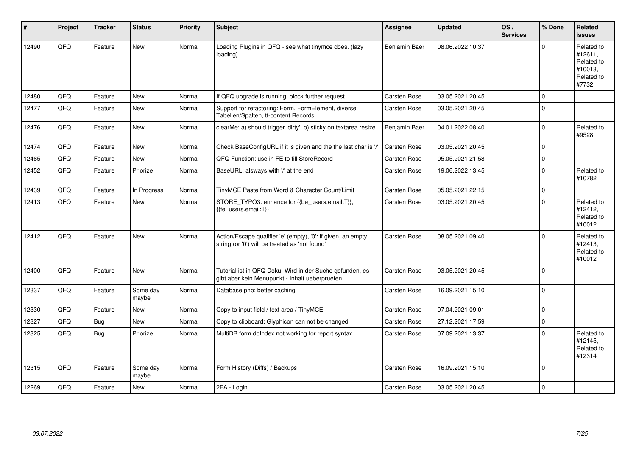| #     | Project | <b>Tracker</b> | <b>Status</b>     | <b>Priority</b> | Subject                                                                                                        | <b>Assignee</b> | <b>Updated</b>   | OS/<br><b>Services</b> | % Done       | Related<br><b>issues</b>                                              |
|-------|---------|----------------|-------------------|-----------------|----------------------------------------------------------------------------------------------------------------|-----------------|------------------|------------------------|--------------|-----------------------------------------------------------------------|
| 12490 | QFQ     | Feature        | <b>New</b>        | Normal          | Loading Plugins in QFQ - see what tinymce does. (lazy<br>loading)                                              | Benjamin Baer   | 08.06.2022 10:37 |                        | $\Omega$     | Related to<br>#12611,<br>Related to<br>#10013,<br>Related to<br>#7732 |
| 12480 | QFQ     | Feature        | <b>New</b>        | Normal          | If QFQ upgrade is running, block further request                                                               | Carsten Rose    | 03.05.2021 20:45 |                        | $\Omega$     |                                                                       |
| 12477 | QFQ     | Feature        | New               | Normal          | Support for refactoring: Form, FormElement, diverse<br>Tabellen/Spalten, tt-content Records                    | Carsten Rose    | 03.05.2021 20:45 |                        | $\mathbf 0$  |                                                                       |
| 12476 | QFQ     | Feature        | <b>New</b>        | Normal          | clearMe: a) should trigger 'dirty', b) sticky on textarea resize                                               | Benjamin Baer   | 04.01.2022 08:40 |                        | $\mathbf 0$  | Related to<br>#9528                                                   |
| 12474 | QFQ     | Feature        | <b>New</b>        | Normal          | Check BaseConfigURL if it is given and the the last char is '/'                                                | Carsten Rose    | 03.05.2021 20:45 |                        | $\mathbf 0$  |                                                                       |
| 12465 | QFQ     | Feature        | <b>New</b>        | Normal          | QFQ Function: use in FE to fill StoreRecord                                                                    | Carsten Rose    | 05.05.2021 21:58 |                        | $\mathbf 0$  |                                                                       |
| 12452 | QFQ     | Feature        | Priorize          | Normal          | BaseURL: alsways with '/' at the end                                                                           | Carsten Rose    | 19.06.2022 13:45 |                        | $\mathbf{0}$ | Related to<br>#10782                                                  |
| 12439 | QFQ     | Feature        | In Progress       | Normal          | TinyMCE Paste from Word & Character Count/Limit                                                                | Carsten Rose    | 05.05.2021 22:15 |                        | $\pmb{0}$    |                                                                       |
| 12413 | QFQ     | Feature        | New               | Normal          | STORE TYPO3: enhance for {{be users.email:T}},<br>{{fe users.email:T}}                                         | Carsten Rose    | 03.05.2021 20:45 |                        | $\mathbf 0$  | Related to<br>#12412,<br>Related to<br>#10012                         |
| 12412 | QFQ     | Feature        | <b>New</b>        | Normal          | Action/Escape qualifier 'e' (empty), '0': if given, an empty<br>string (or '0') will be treated as 'not found' | Carsten Rose    | 08.05.2021 09:40 |                        | $\Omega$     | Related to<br>#12413,<br>Related to<br>#10012                         |
| 12400 | QFQ     | Feature        | New               | Normal          | Tutorial ist in QFQ Doku, Wird in der Suche gefunden, es<br>gibt aber kein Menupunkt - Inhalt ueberpruefen     | Carsten Rose    | 03.05.2021 20:45 |                        | $\mathbf 0$  |                                                                       |
| 12337 | QFQ     | Feature        | Some day<br>maybe | Normal          | Database.php: better caching                                                                                   | Carsten Rose    | 16.09.2021 15:10 |                        | $\Omega$     |                                                                       |
| 12330 | QFQ     | Feature        | <b>New</b>        | Normal          | Copy to input field / text area / TinyMCE                                                                      | Carsten Rose    | 07.04.2021 09:01 |                        | $\mathbf 0$  |                                                                       |
| 12327 | QFQ     | Bug            | <b>New</b>        | Normal          | Copy to clipboard: Glyphicon can not be changed                                                                | Carsten Rose    | 27.12.2021 17:59 |                        | $\mathbf{0}$ |                                                                       |
| 12325 | QFQ     | Bug            | Priorize          | Normal          | MultiDB form.dblndex not working for report syntax                                                             | Carsten Rose    | 07.09.2021 13:37 |                        | $\mathbf 0$  | Related to<br>#12145,<br>Related to<br>#12314                         |
| 12315 | QFQ     | Feature        | Some day<br>maybe | Normal          | Form History (Diffs) / Backups                                                                                 | Carsten Rose    | 16.09.2021 15:10 |                        | $\mathbf 0$  |                                                                       |
| 12269 | QFQ     | Feature        | <b>New</b>        | Normal          | 2FA - Login                                                                                                    | Carsten Rose    | 03.05.2021 20:45 |                        | $\mathbf 0$  |                                                                       |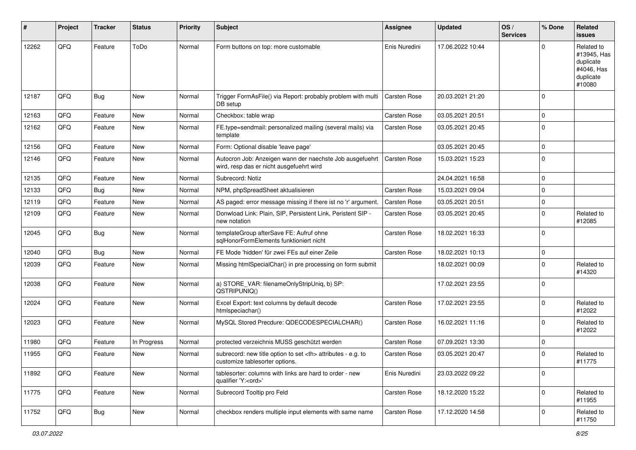| #     | Project | <b>Tracker</b> | <b>Status</b> | <b>Priority</b> | <b>Subject</b>                                                                                       | <b>Assignee</b>                                        | <b>Updated</b>   | OS/<br><b>Services</b> | % Done      | Related<br><b>issues</b>                                                    |                      |
|-------|---------|----------------|---------------|-----------------|------------------------------------------------------------------------------------------------------|--------------------------------------------------------|------------------|------------------------|-------------|-----------------------------------------------------------------------------|----------------------|
| 12262 | QFQ     | Feature        | ToDo          | Normal          | Form buttons on top: more customable                                                                 | Enis Nuredini                                          | 17.06.2022 10:44 |                        | $\mathbf 0$ | Related to<br>#13945, Has<br>duplicate<br>#4046, Has<br>duplicate<br>#10080 |                      |
| 12187 | QFQ     | Bug            | New           | Normal          | Trigger FormAsFile() via Report: probably problem with multi<br>DB setup                             | <b>Carsten Rose</b>                                    | 20.03.2021 21:20 |                        | $\mathbf 0$ |                                                                             |                      |
| 12163 | QFQ     | Feature        | <b>New</b>    | Normal          | Checkbox: table wrap                                                                                 | Carsten Rose                                           | 03.05.2021 20:51 |                        | $\mathbf 0$ |                                                                             |                      |
| 12162 | QFQ     | Feature        | New           | Normal          | FE.type=sendmail: personalized mailing (several mails) via<br>template                               | Carsten Rose                                           | 03.05.2021 20:45 |                        | $\mathbf 0$ |                                                                             |                      |
| 12156 | QFQ     | Feature        | <b>New</b>    | Normal          | Form: Optional disable 'leave page'                                                                  |                                                        | 03.05.2021 20:45 |                        | $\mathbf 0$ |                                                                             |                      |
| 12146 | QFQ     | Feature        | <b>New</b>    | Normal          | Autocron Job: Anzeigen wann der naechste Job ausgefuehrt<br>wird, resp das er nicht ausgefuehrt wird | Carsten Rose                                           | 15.03.2021 15:23 |                        | $\mathbf 0$ |                                                                             |                      |
| 12135 | QFQ     | Feature        | New           | Normal          | Subrecord: Notiz                                                                                     |                                                        | 24.04.2021 16:58 |                        | $\mathbf 0$ |                                                                             |                      |
| 12133 | QFQ     | Bug            | New           | Normal          | NPM, phpSpreadSheet aktualisieren                                                                    | Carsten Rose                                           | 15.03.2021 09:04 |                        | $\mathbf 0$ |                                                                             |                      |
| 12119 | QFQ     | Feature        | New           | Normal          | AS paged: error message missing if there ist no 'r' argument.                                        | Carsten Rose                                           | 03.05.2021 20:51 |                        | $\mathbf 0$ |                                                                             |                      |
| 12109 | QFQ     | Feature        | New           | Normal          | Donwload Link: Plain, SIP, Persistent Link, Peristent SIP -<br>new notation                          | Carsten Rose                                           | 03.05.2021 20:45 |                        | $\mathbf 0$ | Related to<br>#12085                                                        |                      |
| 12045 | QFQ     | Bug            | New           | Normal          | templateGroup afterSave FE: Aufruf ohne<br>sqlHonorFormElements funktioniert nicht                   | Carsten Rose                                           | 18.02.2021 16:33 |                        | $\mathbf 0$ |                                                                             |                      |
| 12040 | QFQ     | Bug            | <b>New</b>    | Normal          | FE Mode 'hidden' für zwei FEs auf einer Zeile                                                        | Carsten Rose                                           | 18.02.2021 10:13 |                        | $\mathbf 0$ |                                                                             |                      |
| 12039 | QFQ     | Feature        | New           | Normal          | Missing htmlSpecialChar() in pre processing on form submit                                           |                                                        | 18.02.2021 00:09 |                        | $\mathbf 0$ | Related to<br>#14320                                                        |                      |
| 12038 | QFQ     | Feature        | New           | Normal          | a) STORE_VAR: filenameOnlyStripUniq, b) SP:<br>QSTRIPUNIQ()                                          |                                                        | 17.02.2021 23:55 |                        | $\mathbf 0$ |                                                                             |                      |
| 12024 | QFQ     | Feature        | New           | Normal          | Excel Export: text columns by default decode<br>htmlspeciachar()                                     | Carsten Rose                                           | 17.02.2021 23:55 |                        | $\mathbf 0$ | Related to<br>#12022                                                        |                      |
| 12023 | QFQ     | Feature        | New           | Normal          | MySQL Stored Precdure: QDECODESPECIALCHAR()                                                          | Carsten Rose                                           | 16.02.2021 11:16 |                        | $\mathbf 0$ | Related to<br>#12022                                                        |                      |
| 11980 | QFQ     | Feature        | In Progress   | Normal          | protected verzeichnis MUSS geschützt werden                                                          | Carsten Rose                                           | 07.09.2021 13:30 |                        | $\mathbf 0$ |                                                                             |                      |
| 11955 | QFQ     | Feature        | New           | Normal          | subrecord: new title option to set <th> attributes - e.g. to<br/>customize tablesorter options.</th> | attributes - e.g. to<br>customize tablesorter options. | Carsten Rose     | 03.05.2021 20:47       |             | $\mathbf 0$                                                                 | Related to<br>#11775 |
| 11892 | QFQ     | Feature        | New           | Normal          | tablesorter: columns with links are hard to order - new<br>qualifier 'Y: <ord>'</ord>                | Enis Nuredini                                          | 23.03.2022 09:22 |                        | $\mathbf 0$ |                                                                             |                      |
| 11775 | QFQ     | Feature        | New           | Normal          | Subrecord Tooltip pro Feld                                                                           | Carsten Rose                                           | 18.12.2020 15:22 |                        | $\mathbf 0$ | Related to<br>#11955                                                        |                      |
| 11752 | QFQ     | <b>Bug</b>     | New           | Normal          | checkbox renders multiple input elements with same name                                              | Carsten Rose                                           | 17.12.2020 14:58 |                        | $\mathbf 0$ | Related to<br>#11750                                                        |                      |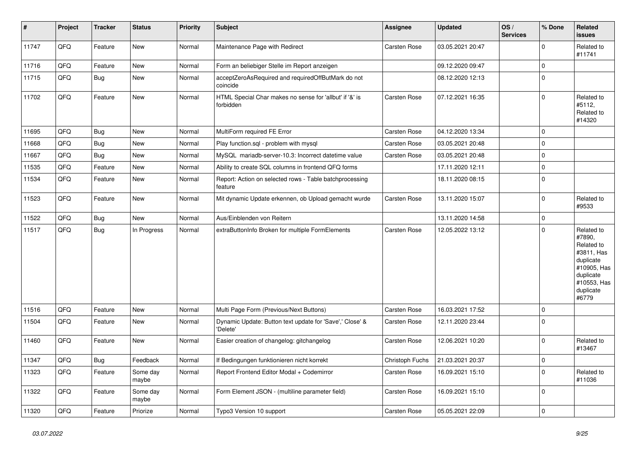| $\vert$ # | Project | <b>Tracker</b> | <b>Status</b>     | <b>Priority</b> | <b>Subject</b>                                                       | Assignee        | <b>Updated</b>   | OS/<br><b>Services</b> | % Done              | Related<br><b>issues</b>                                                                                                       |
|-----------|---------|----------------|-------------------|-----------------|----------------------------------------------------------------------|-----------------|------------------|------------------------|---------------------|--------------------------------------------------------------------------------------------------------------------------------|
| 11747     | QFQ     | Feature        | <b>New</b>        | Normal          | Maintenance Page with Redirect                                       | Carsten Rose    | 03.05.2021 20:47 |                        | $\mathbf 0$         | Related to<br>#11741                                                                                                           |
| 11716     | QFQ     | Feature        | <b>New</b>        | Normal          | Form an beliebiger Stelle im Report anzeigen                         |                 | 09.12.2020 09:47 |                        | $\mathbf 0$         |                                                                                                                                |
| 11715     | QFQ     | <b>Bug</b>     | <b>New</b>        | Normal          | acceptZeroAsRequired and requiredOffButMark do not<br>coincide       |                 | 08.12.2020 12:13 |                        | $\pmb{0}$           |                                                                                                                                |
| 11702     | QFQ     | Feature        | <b>New</b>        | Normal          | HTML Special Char makes no sense for 'allbut' if '&' is<br>forbidden | Carsten Rose    | 07.12.2021 16:35 |                        | $\mathbf 0$         | Related to<br>#5112,<br>Related to<br>#14320                                                                                   |
| 11695     | QFQ     | Bug            | <b>New</b>        | Normal          | MultiForm required FE Error                                          | Carsten Rose    | 04.12.2020 13:34 |                        | $\Omega$            |                                                                                                                                |
| 11668     | QFQ     | Bug            | <b>New</b>        | Normal          | Play function.sql - problem with mysql                               | Carsten Rose    | 03.05.2021 20:48 |                        | $\mathbf 0$         |                                                                                                                                |
| 11667     | QFQ     | Bug            | New               | Normal          | MySQL mariadb-server-10.3: Incorrect datetime value                  | Carsten Rose    | 03.05.2021 20:48 |                        | $\mathbf 0$         |                                                                                                                                |
| 11535     | QFQ     | Feature        | <b>New</b>        | Normal          | Ability to create SQL columns in frontend QFQ forms                  |                 | 17.11.2020 12:11 |                        | $\mathbf 0$         |                                                                                                                                |
| 11534     | QFQ     | Feature        | <b>New</b>        | Normal          | Report: Action on selected rows - Table batchprocessing<br>feature   |                 | 18.11.2020 08:15 |                        | $\mathbf 0$         |                                                                                                                                |
| 11523     | QFQ     | Feature        | <b>New</b>        | Normal          | Mit dynamic Update erkennen, ob Upload gemacht wurde                 | Carsten Rose    | 13.11.2020 15:07 |                        | $\mathbf 0$         | Related to<br>#9533                                                                                                            |
| 11522     | QFQ     | Bug            | New               | Normal          | Aus/Einblenden von Reitern                                           |                 | 13.11.2020 14:58 |                        | $\pmb{0}$           |                                                                                                                                |
| 11517     | QFQ     | Bug            | In Progress       | Normal          | extraButtonInfo Broken for multiple FormElements                     | Carsten Rose    | 12.05.2022 13:12 |                        | $\mathbf 0$         | Related to<br>#7890,<br>Related to<br>#3811, Has<br>duplicate<br>#10905, Has<br>duplicate<br>#10553, Has<br>duplicate<br>#6779 |
| 11516     | QFQ     | Feature        | <b>New</b>        | Normal          | Multi Page Form (Previous/Next Buttons)                              | Carsten Rose    | 16.03.2021 17:52 |                        | $\mathsf{O}\xspace$ |                                                                                                                                |
| 11504     | QFQ     | Feature        | <b>New</b>        | Normal          | Dynamic Update: Button text update for 'Save',' Close' &<br>'Delete' | Carsten Rose    | 12.11.2020 23:44 |                        | $\mathbf 0$         |                                                                                                                                |
| 11460     | QFQ     | Feature        | New               | Normal          | Easier creation of changelog: gitchangelog                           | Carsten Rose    | 12.06.2021 10:20 |                        | $\mathbf 0$         | Related to<br>#13467                                                                                                           |
| 11347     | QFQ     | Bug            | Feedback          | Normal          | If Bedingungen funktionieren nicht korrekt                           | Christoph Fuchs | 21.03.2021 20:37 |                        | $\mathbf 0$         |                                                                                                                                |
| 11323     | QFQ     | Feature        | Some day<br>maybe | Normal          | Report Frontend Editor Modal + Codemirror                            | Carsten Rose    | 16.09.2021 15:10 |                        | $\mathbf 0$         | Related to<br>#11036                                                                                                           |
| 11322     | QFQ     | Feature        | Some day<br>maybe | Normal          | Form Element JSON - (multiline parameter field)                      | Carsten Rose    | 16.09.2021 15:10 |                        | $\mathbf 0$         |                                                                                                                                |
| 11320     | QFQ     | Feature        | Priorize          | Normal          | Typo3 Version 10 support                                             | Carsten Rose    | 05.05.2021 22:09 |                        | $\mathbf 0$         |                                                                                                                                |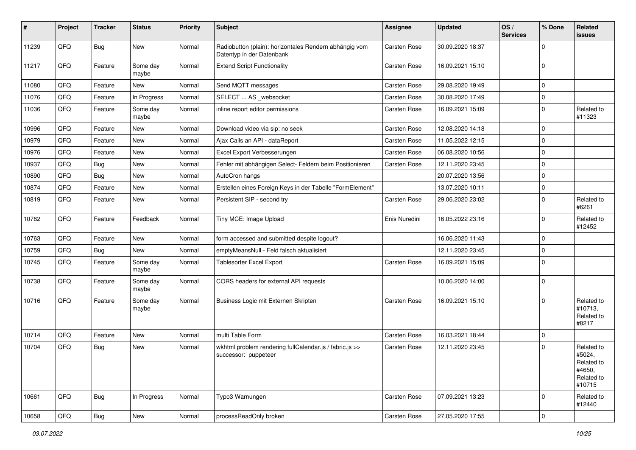| #     | Project | <b>Tracker</b> | <b>Status</b>     | <b>Priority</b> | <b>Subject</b>                                                                      | Assignee            | <b>Updated</b>   | OS/<br><b>Services</b> | % Done      | Related<br>issues                                                    |
|-------|---------|----------------|-------------------|-----------------|-------------------------------------------------------------------------------------|---------------------|------------------|------------------------|-------------|----------------------------------------------------------------------|
| 11239 | QFQ     | Bug            | New               | Normal          | Radiobutton (plain): horizontales Rendern abhängig vom<br>Datentyp in der Datenbank | Carsten Rose        | 30.09.2020 18:37 |                        | 0           |                                                                      |
| 11217 | QFQ     | Feature        | Some day<br>maybe | Normal          | <b>Extend Script Functionality</b>                                                  | Carsten Rose        | 16.09.2021 15:10 |                        | $\mathbf 0$ |                                                                      |
| 11080 | QFQ     | Feature        | New               | Normal          | Send MQTT messages                                                                  | Carsten Rose        | 29.08.2020 19:49 |                        | $\mathbf 0$ |                                                                      |
| 11076 | QFQ     | Feature        | In Progress       | Normal          | SELECT  AS _websocket                                                               | Carsten Rose        | 30.08.2020 17:49 |                        | $\mathbf 0$ |                                                                      |
| 11036 | QFQ     | Feature        | Some day<br>maybe | Normal          | inline report editor permissions                                                    | Carsten Rose        | 16.09.2021 15:09 |                        | $\mathbf 0$ | Related to<br>#11323                                                 |
| 10996 | QFQ     | Feature        | New               | Normal          | Download video via sip: no seek                                                     | Carsten Rose        | 12.08.2020 14:18 |                        | $\mathbf 0$ |                                                                      |
| 10979 | QFQ     | Feature        | <b>New</b>        | Normal          | Ajax Calls an API - dataReport                                                      | Carsten Rose        | 11.05.2022 12:15 |                        | $\mathbf 0$ |                                                                      |
| 10976 | QFQ     | Feature        | <b>New</b>        | Normal          | Excel Export Verbesserungen                                                         | Carsten Rose        | 06.08.2020 10:56 |                        | $\mathbf 0$ |                                                                      |
| 10937 | QFQ     | Bug            | New               | Normal          | Fehler mit abhängigen Select- Feldern beim Positionieren                            | Carsten Rose        | 12.11.2020 23:45 |                        | $\mathbf 0$ |                                                                      |
| 10890 | QFQ     | Bug            | New               | Normal          | AutoCron hangs                                                                      |                     | 20.07.2020 13:56 |                        | $\mathbf 0$ |                                                                      |
| 10874 | QFQ     | Feature        | New               | Normal          | Erstellen eines Foreign Keys in der Tabelle "FormElement"                           |                     | 13.07.2020 10:11 |                        | $\mathbf 0$ |                                                                      |
| 10819 | QFQ     | Feature        | New               | Normal          | Persistent SIP - second try                                                         | Carsten Rose        | 29.06.2020 23:02 |                        | $\mathbf 0$ | Related to<br>#6261                                                  |
| 10782 | QFQ     | Feature        | Feedback          | Normal          | Tiny MCE: Image Upload                                                              | Enis Nuredini       | 16.05.2022 23:16 |                        | $\mathbf 0$ | Related to<br>#12452                                                 |
| 10763 | QFQ     | Feature        | New               | Normal          | form accessed and submitted despite logout?                                         |                     | 16.06.2020 11:43 |                        | $\mathbf 0$ |                                                                      |
| 10759 | QFQ     | Bug            | New               | Normal          | emptyMeansNull - Feld falsch aktualisiert                                           |                     | 12.11.2020 23:45 |                        | $\mathbf 0$ |                                                                      |
| 10745 | QFQ     | Feature        | Some day<br>maybe | Normal          | Tablesorter Excel Export                                                            | Carsten Rose        | 16.09.2021 15:09 |                        | $\mathbf 0$ |                                                                      |
| 10738 | QFQ     | Feature        | Some day<br>maybe | Normal          | CORS headers for external API requests                                              |                     | 10.06.2020 14:00 |                        | $\mathbf 0$ |                                                                      |
| 10716 | QFQ     | Feature        | Some day<br>maybe | Normal          | Business Logic mit Externen Skripten                                                | <b>Carsten Rose</b> | 16.09.2021 15:10 |                        | $\mathbf 0$ | Related to<br>#10713,<br>Related to<br>#8217                         |
| 10714 | QFQ     | Feature        | New               | Normal          | multi Table Form                                                                    | Carsten Rose        | 16.03.2021 18:44 |                        | $\mathbf 0$ |                                                                      |
| 10704 | QFQ     | Bug            | New               | Normal          | wkhtml problem rendering fullCalendar.js / fabric.js >><br>successor: puppeteer     | Carsten Rose        | 12.11.2020 23:45 |                        | $\mathbf 0$ | Related to<br>#5024,<br>Related to<br>#4650,<br>Related to<br>#10715 |
| 10661 | QFQ     | Bug            | In Progress       | Normal          | Typo3 Warnungen                                                                     | Carsten Rose        | 07.09.2021 13:23 |                        | $\mathbf 0$ | Related to<br>#12440                                                 |
| 10658 | QFQ     | Bug            | New               | Normal          | processReadOnly broken                                                              | Carsten Rose        | 27.05.2020 17:55 |                        | $\mathsf 0$ |                                                                      |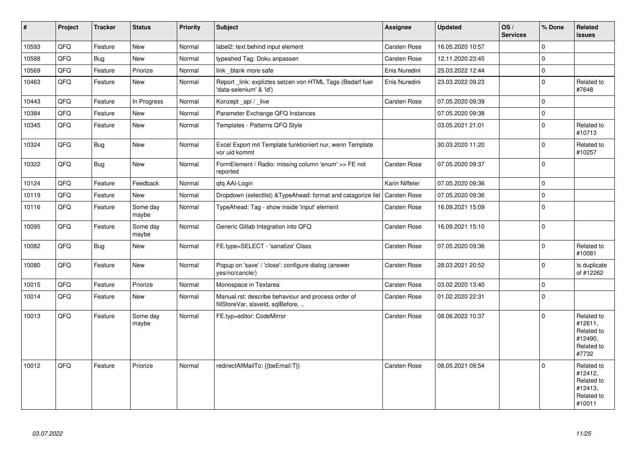| $\vert$ # | Project | <b>Tracker</b> | <b>Status</b>     | Priority | Subject                                                                                  | Assignee            | <b>Updated</b>   | OS/<br><b>Services</b> | % Done              | Related<br><b>issues</b>                                               |
|-----------|---------|----------------|-------------------|----------|------------------------------------------------------------------------------------------|---------------------|------------------|------------------------|---------------------|------------------------------------------------------------------------|
| 10593     | QFQ     | Feature        | <b>New</b>        | Normal   | label2: text behind input element                                                        | Carsten Rose        | 16.05.2020 10:57 |                        | $\Omega$            |                                                                        |
| 10588     | QFQ     | <b>Bug</b>     | New               | Normal   | typeahed Tag: Doku anpassen                                                              | Carsten Rose        | 12.11.2020 23:45 |                        | $\mathbf 0$         |                                                                        |
| 10569     | QFQ     | Feature        | Priorize          | Normal   | link _blank more safe                                                                    | Enis Nuredini       | 25.03.2022 12:44 |                        | $\Omega$            |                                                                        |
| 10463     | QFQ     | Feature        | New               | Normal   | Report_link: expliztes setzen von HTML Tags (Bedarf fuer<br>'data-selenium' & 'id')      | Enis Nuredini       | 23.03.2022 09:23 |                        | $\mathbf 0$         | Related to<br>#7648                                                    |
| 10443     | QFQ     | Feature        | In Progress       | Normal   | Konzept_api / _live                                                                      | Carsten Rose        | 07.05.2020 09:39 |                        | $\Omega$            |                                                                        |
| 10384     | QFQ     | Feature        | <b>New</b>        | Normal   | Parameter Exchange QFQ Instances                                                         |                     | 07.05.2020 09:38 |                        | $\mathbf 0$         |                                                                        |
| 10345     | QFQ     | Feature        | New               | Normal   | Templates - Patterns QFQ Style                                                           |                     | 03.05.2021 21:01 |                        | $\mathbf 0$         | Related to<br>#10713                                                   |
| 10324     | QFQ     | <b>Bug</b>     | <b>New</b>        | Normal   | Excel Export mit Template funktioniert nur, wenn Template<br>vor uid kommt               |                     | 30.03.2020 11:20 |                        | $\mathbf 0$         | Related to<br>#10257                                                   |
| 10322     | QFQ     | <b>Bug</b>     | New               | Normal   | FormElement / Radio: missing column 'enum' >> FE not<br>reported                         | Carsten Rose        | 07.05.2020 09:37 |                        | $\mathsf{O}\xspace$ |                                                                        |
| 10124     | QFQ     | Feature        | Feedback          | Normal   | qfq AAI-Login                                                                            | Karin Niffeler      | 07.05.2020 09:36 |                        | $\mathbf 0$         |                                                                        |
| 10119     | QFQ     | Feature        | <b>New</b>        | Normal   | Dropdown (selectlist) & TypeAhead: format and catagorize list                            | <b>Carsten Rose</b> | 07.05.2020 09:36 |                        | $\mathbf 0$         |                                                                        |
| 10116     | QFQ     | Feature        | Some day<br>maybe | Normal   | TypeAhead: Tag - show inside 'input' element                                             | Carsten Rose        | 16.09.2021 15:09 |                        | $\mathsf{O}\xspace$ |                                                                        |
| 10095     | QFQ     | Feature        | Some day<br>maybe | Normal   | Generic Gitlab Integration into QFQ                                                      | Carsten Rose        | 16.09.2021 15:10 |                        | $\mathbf 0$         |                                                                        |
| 10082     | QFQ     | <b>Bug</b>     | <b>New</b>        | Normal   | FE.type=SELECT - 'sanatize' Class                                                        | Carsten Rose        | 07.05.2020 09:36 |                        | $\Omega$            | Related to<br>#10081                                                   |
| 10080     | QFQ     | Feature        | New               | Normal   | Popup on 'save' / 'close': configure dialog (answer<br>yes/no/cancle/)                   | Carsten Rose        | 28.03.2021 20:52 |                        | $\mathbf 0$         | Is duplicate<br>of #12262                                              |
| 10015     | QFQ     | Feature        | Priorize          | Normal   | Monospace in Textarea                                                                    | Carsten Rose        | 03.02.2020 13:40 |                        | $\mathsf{O}\xspace$ |                                                                        |
| 10014     | QFO     | Feature        | New               | Normal   | Manual.rst: describe behaviour and process order of<br>fillStoreVar, slaveId, sqlBefore, | Carsten Rose        | 01.02.2020 22:31 |                        | $\mathbf 0$         |                                                                        |
| 10013     | QFQ     | Feature        | Some day<br>maybe | Normal   | FE.typ=editor: CodeMirror                                                                | Carsten Rose        | 08.06.2022 10:37 |                        | $\Omega$            | Related to<br>#12611,<br>Related to<br>#12490,<br>Related to<br>#7732  |
| 10012     | QFQ     | Feature        | Priorize          | Normal   | redirectAllMailTo: {{beEmail:T}}                                                         | <b>Carsten Rose</b> | 08.05.2021 09:54 |                        | $\Omega$            | Related to<br>#12412,<br>Related to<br>#12413,<br>Related to<br>#10011 |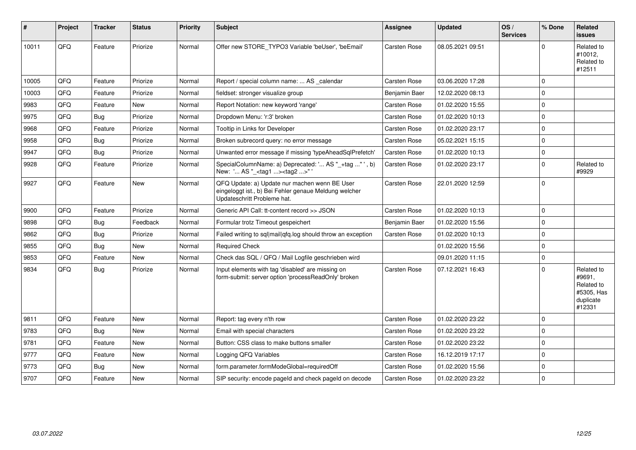| #     | <b>Project</b> | <b>Tracker</b> | <b>Status</b> | Priority | <b>Subject</b>                                                                                                                        | Assignee            | <b>Updated</b>   | OS/<br><b>Services</b> | % Done       | Related<br><b>issues</b>                                                |
|-------|----------------|----------------|---------------|----------|---------------------------------------------------------------------------------------------------------------------------------------|---------------------|------------------|------------------------|--------------|-------------------------------------------------------------------------|
| 10011 | QFQ            | Feature        | Priorize      | Normal   | Offer new STORE_TYPO3 Variable 'beUser', 'beEmail'                                                                                    | Carsten Rose        | 08.05.2021 09:51 |                        | $\Omega$     | Related to<br>#10012,<br>Related to<br>#12511                           |
| 10005 | QFQ            | Feature        | Priorize      | Normal   | Report / special column name:  AS _calendar                                                                                           | Carsten Rose        | 03.06.2020 17:28 |                        | $\mathbf 0$  |                                                                         |
| 10003 | QFQ            | Feature        | Priorize      | Normal   | fieldset: stronger visualize group                                                                                                    | Benjamin Baer       | 12.02.2020 08:13 |                        | $\Omega$     |                                                                         |
| 9983  | QFQ            | Feature        | New           | Normal   | Report Notation: new keyword 'range'                                                                                                  | Carsten Rose        | 01.02.2020 15:55 |                        | $\Omega$     |                                                                         |
| 9975  | QFQ            | Bug            | Priorize      | Normal   | Dropdown Menu: 'r:3' broken                                                                                                           | Carsten Rose        | 01.02.2020 10:13 |                        | $\mathbf 0$  |                                                                         |
| 9968  | QFQ            | Feature        | Priorize      | Normal   | Tooltip in Links for Developer                                                                                                        | Carsten Rose        | 01.02.2020 23:17 |                        | $\mathbf 0$  |                                                                         |
| 9958  | QFQ            | Bug            | Priorize      | Normal   | Broken subrecord query: no error message                                                                                              | Carsten Rose        | 05.02.2021 15:15 |                        | $\mathbf 0$  |                                                                         |
| 9947  | QFQ            | Bug            | Priorize      | Normal   | Unwanted error message if missing 'typeAheadSqlPrefetch'                                                                              | Carsten Rose        | 01.02.2020 10:13 |                        | $\Omega$     |                                                                         |
| 9928  | QFQ            | Feature        | Priorize      | Normal   | SpecialColumnName: a) Deprecated: ' AS "_+tag " ', b)<br>New: ' AS "_ <tag1><tag2>"'</tag2></tag1>                                    | Carsten Rose        | 01.02.2020 23:17 |                        | $\Omega$     | Related to<br>#9929                                                     |
| 9927  | QFQ            | Feature        | New           | Normal   | QFQ Update: a) Update nur machen wenn BE User<br>eingeloggt ist., b) Bei Fehler genaue Meldung welcher<br>Updateschritt Probleme hat. | <b>Carsten Rose</b> | 22.01.2020 12:59 |                        | l 0          |                                                                         |
| 9900  | QFQ            | Feature        | Priorize      | Normal   | Generic API Call: tt-content record >> JSON                                                                                           | Carsten Rose        | 01.02.2020 10:13 |                        | $\Omega$     |                                                                         |
| 9898  | QFQ            | Bug            | Feedback      | Normal   | Formular trotz Timeout gespeichert                                                                                                    | Benjamin Baer       | 01.02.2020 15:56 |                        | $\mathbf{0}$ |                                                                         |
| 9862  | QFQ            | Bug            | Priorize      | Normal   | Failed writing to sql mail qfq.log should throw an exception                                                                          | <b>Carsten Rose</b> | 01.02.2020 10:13 |                        | $\Omega$     |                                                                         |
| 9855  | QFQ            | Bug            | New           | Normal   | <b>Required Check</b>                                                                                                                 |                     | 01.02.2020 15:56 |                        | $\mathbf{0}$ |                                                                         |
| 9853  | QFQ            | Feature        | New           | Normal   | Check das SQL / QFQ / Mail Logfile geschrieben wird                                                                                   |                     | 09.01.2020 11:15 |                        | $\mathbf 0$  |                                                                         |
| 9834  | QFQ            | Bug            | Priorize      | Normal   | Input elements with tag 'disabled' are missing on<br>form-submit: server option 'processReadOnly' broken                              | Carsten Rose        | 07.12.2021 16:43 |                        | $\Omega$     | Related to<br>#9691,<br>Related to<br>#5305, Has<br>duplicate<br>#12331 |
| 9811  | QFQ            | Feature        | <b>New</b>    | Normal   | Report: tag every n'th row                                                                                                            | Carsten Rose        | 01.02.2020 23:22 |                        | $\mathbf{0}$ |                                                                         |
| 9783  | QFQ            | Bug            | <b>New</b>    | Normal   | Email with special characters                                                                                                         | Carsten Rose        | 01.02.2020 23:22 |                        | l 0          |                                                                         |
| 9781  | QFQ            | Feature        | New           | Normal   | Button: CSS class to make buttons smaller                                                                                             | Carsten Rose        | 01.02.2020 23:22 |                        | $\Omega$     |                                                                         |
| 9777  | QFQ            | Feature        | New           | Normal   | Logging QFQ Variables                                                                                                                 | Carsten Rose        | 16.12.2019 17:17 |                        | $\mathbf 0$  |                                                                         |
| 9773  | QFQ            | Bug            | New           | Normal   | form.parameter.formModeGlobal=requiredOff                                                                                             | Carsten Rose        | 01.02.2020 15:56 |                        | $\mathbf 0$  |                                                                         |
| 9707  | QFQ            | Feature        | New           | Normal   | SIP security: encode pageld and check pageld on decode                                                                                | <b>Carsten Rose</b> | 01.02.2020 23:22 |                        | $\Omega$     |                                                                         |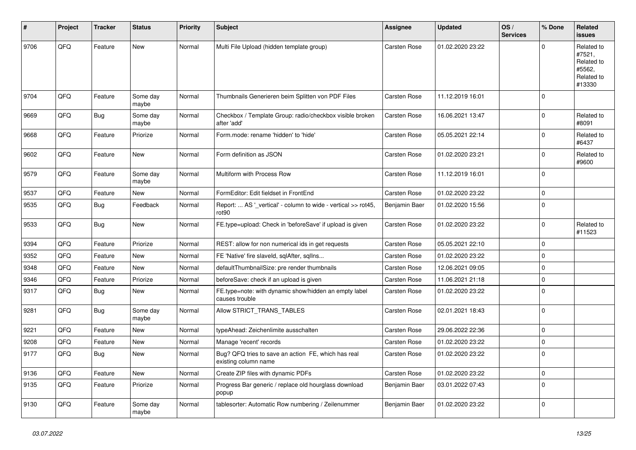| #    | Project | <b>Tracker</b> | <b>Status</b>     | <b>Priority</b> | <b>Subject</b>                                                                     | <b>Assignee</b> | <b>Updated</b>   | OS/<br><b>Services</b> | % Done      | Related<br><b>issues</b>                                             |
|------|---------|----------------|-------------------|-----------------|------------------------------------------------------------------------------------|-----------------|------------------|------------------------|-------------|----------------------------------------------------------------------|
| 9706 | QFQ     | Feature        | <b>New</b>        | Normal          | Multi File Upload (hidden template group)                                          | Carsten Rose    | 01.02.2020 23:22 |                        | $\Omega$    | Related to<br>#7521,<br>Related to<br>#5562,<br>Related to<br>#13330 |
| 9704 | QFQ     | Feature        | Some day<br>maybe | Normal          | Thumbnails Generieren beim Splitten von PDF Files                                  | Carsten Rose    | 11.12.2019 16:01 |                        | $\mathbf 0$ |                                                                      |
| 9669 | QFQ     | Bug            | Some day<br>maybe | Normal          | Checkbox / Template Group: radio/checkbox visible broken<br>after 'add'            | Carsten Rose    | 16.06.2021 13:47 |                        | $\mathbf 0$ | Related to<br>#8091                                                  |
| 9668 | QFQ     | Feature        | Priorize          | Normal          | Form.mode: rename 'hidden' to 'hide'                                               | Carsten Rose    | 05.05.2021 22:14 |                        | $\Omega$    | Related to<br>#6437                                                  |
| 9602 | QFQ     | Feature        | New               | Normal          | Form definition as JSON                                                            | Carsten Rose    | 01.02.2020 23:21 |                        | $\mathbf 0$ | Related to<br>#9600                                                  |
| 9579 | QFQ     | Feature        | Some day<br>maybe | Normal          | Multiform with Process Row                                                         | Carsten Rose    | 11.12.2019 16:01 |                        | 0           |                                                                      |
| 9537 | QFQ     | Feature        | New               | Normal          | FormEditor: Edit fieldset in FrontEnd                                              | Carsten Rose    | 01.02.2020 23:22 |                        | 0           |                                                                      |
| 9535 | QFQ     | Bug            | Feedback          | Normal          | Report:  AS '_vertical' - column to wide - vertical >> rot45,<br>rot <sub>90</sub> | Benjamin Baer   | 01.02.2020 15:56 |                        | $\mathbf 0$ |                                                                      |
| 9533 | QFQ     | Bug            | <b>New</b>        | Normal          | FE.type=upload: Check in 'beforeSave' if upload is given                           | Carsten Rose    | 01.02.2020 23:22 |                        | $\mathbf 0$ | Related to<br>#11523                                                 |
| 9394 | QFQ     | Feature        | Priorize          | Normal          | REST: allow for non numerical ids in get requests                                  | Carsten Rose    | 05.05.2021 22:10 |                        | $\mathbf 0$ |                                                                      |
| 9352 | QFQ     | Feature        | New               | Normal          | FE 'Native' fire slaveld, sqlAfter, sqlIns                                         | Carsten Rose    | 01.02.2020 23:22 |                        | $\mathbf 0$ |                                                                      |
| 9348 | QFQ     | Feature        | New               | Normal          | defaultThumbnailSize: pre render thumbnails                                        | Carsten Rose    | 12.06.2021 09:05 |                        | 0           |                                                                      |
| 9346 | QFQ     | Feature        | Priorize          | Normal          | beforeSave: check if an upload is given                                            | Carsten Rose    | 11.06.2021 21:18 |                        | 0           |                                                                      |
| 9317 | QFQ     | Bug            | New               | Normal          | FE.type=note: with dynamic show/hidden an empty label<br>causes trouble            | Carsten Rose    | 01.02.2020 23:22 |                        | $\mathbf 0$ |                                                                      |
| 9281 | QFQ     | Bug            | Some day<br>maybe | Normal          | Allow STRICT_TRANS_TABLES                                                          | Carsten Rose    | 02.01.2021 18:43 |                        | $\mathbf 0$ |                                                                      |
| 9221 | QFQ     | Feature        | New               | Normal          | typeAhead: Zeichenlimite ausschalten                                               | Carsten Rose    | 29.06.2022 22:36 |                        | $\mathbf 0$ |                                                                      |
| 9208 | QFQ     | Feature        | New               | Normal          | Manage 'recent' records                                                            | Carsten Rose    | 01.02.2020 23:22 |                        | 0           |                                                                      |
| 9177 | QFQ     | Bug            | <b>New</b>        | Normal          | Bug? QFQ tries to save an action FE, which has real<br>existing column name        | Carsten Rose    | 01.02.2020 23:22 |                        | 0           |                                                                      |
| 9136 | QFQ     | Feature        | New               | Normal          | Create ZIP files with dynamic PDFs                                                 | Carsten Rose    | 01.02.2020 23:22 |                        | $\mathbf 0$ |                                                                      |
| 9135 | QFQ     | Feature        | Priorize          | Normal          | Progress Bar generic / replace old hourglass download<br>popup                     | Benjamin Baer   | 03.01.2022 07:43 |                        | 0           |                                                                      |
| 9130 | QFO     | Feature        | Some day<br>maybe | Normal          | tablesorter: Automatic Row numbering / Zeilenummer                                 | Benjamin Baer   | 01.02.2020 23:22 |                        | $\mathbf 0$ |                                                                      |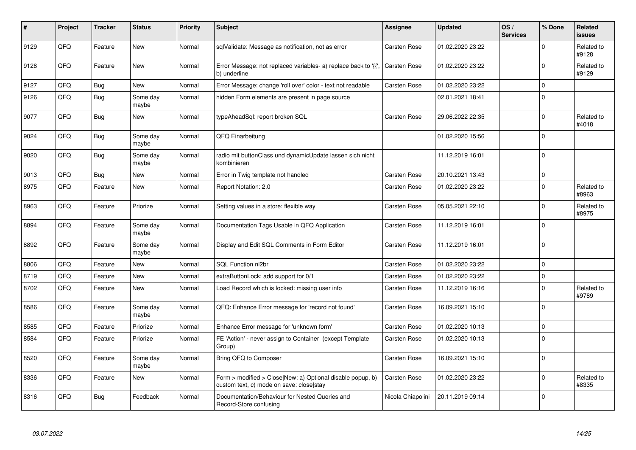| $\vert$ # | Project | <b>Tracker</b> | <b>Status</b>     | <b>Priority</b> | <b>Subject</b>                                                                                         | <b>Assignee</b>     | <b>Updated</b>   | OS/<br><b>Services</b> | % Done       | <b>Related</b><br><b>issues</b> |
|-----------|---------|----------------|-------------------|-----------------|--------------------------------------------------------------------------------------------------------|---------------------|------------------|------------------------|--------------|---------------------------------|
| 9129      | QFQ     | Feature        | <b>New</b>        | Normal          | sqlValidate: Message as notification, not as error                                                     | Carsten Rose        | 01.02.2020 23:22 |                        | $\Omega$     | Related to<br>#9128             |
| 9128      | QFQ     | Feature        | <b>New</b>        | Normal          | Error Message: not replaced variables- a) replace back to '{',<br>b) underline                         | <b>Carsten Rose</b> | 01.02.2020 23:22 |                        | $\Omega$     | Related to<br>#9129             |
| 9127      | QFQ     | Bug            | <b>New</b>        | Normal          | Error Message: change 'roll over' color - text not readable                                            | Carsten Rose        | 01.02.2020 23:22 |                        | $\mathbf 0$  |                                 |
| 9126      | QFQ     | Bug            | Some day<br>maybe | Normal          | hidden Form elements are present in page source                                                        |                     | 02.01.2021 18:41 |                        | $\mathbf 0$  |                                 |
| 9077      | QFQ     | Bug            | <b>New</b>        | Normal          | typeAheadSql: report broken SQL                                                                        | Carsten Rose        | 29.06.2022 22:35 |                        | $\mathbf 0$  | Related to<br>#4018             |
| 9024      | QFQ     | Bug            | Some day<br>maybe | Normal          | QFQ Einarbeitung                                                                                       |                     | 01.02.2020 15:56 |                        | $\Omega$     |                                 |
| 9020      | QFQ     | <b>Bug</b>     | Some day<br>maybe | Normal          | radio mit buttonClass und dynamicUpdate lassen sich nicht<br>kombinieren                               |                     | 11.12.2019 16:01 |                        | $\Omega$     |                                 |
| 9013      | QFQ     | Bug            | <b>New</b>        | Normal          | Error in Twig template not handled                                                                     | Carsten Rose        | 20.10.2021 13:43 |                        | $\mathbf 0$  |                                 |
| 8975      | QFQ     | Feature        | New               | Normal          | Report Notation: 2.0                                                                                   | Carsten Rose        | 01.02.2020 23:22 |                        | $\mathbf 0$  | Related to<br>#8963             |
| 8963      | QFQ     | Feature        | Priorize          | Normal          | Setting values in a store: flexible way                                                                | Carsten Rose        | 05.05.2021 22:10 |                        | $\Omega$     | Related to<br>#8975             |
| 8894      | QFQ     | Feature        | Some day<br>maybe | Normal          | Documentation Tags Usable in QFQ Application                                                           | Carsten Rose        | 11.12.2019 16:01 |                        | $\Omega$     |                                 |
| 8892      | QFQ     | Feature        | Some day<br>maybe | Normal          | Display and Edit SQL Comments in Form Editor                                                           | Carsten Rose        | 11.12.2019 16:01 |                        | $\Omega$     |                                 |
| 8806      | QFQ     | Feature        | <b>New</b>        | Normal          | SQL Function nl2br                                                                                     | Carsten Rose        | 01.02.2020 23:22 |                        | $\mathbf 0$  |                                 |
| 8719      | QFQ     | Feature        | New               | Normal          | extraButtonLock: add support for 0/1                                                                   | Carsten Rose        | 01.02.2020 23:22 |                        | $\pmb{0}$    |                                 |
| 8702      | QFQ     | Feature        | New               | Normal          | Load Record which is locked: missing user info                                                         | Carsten Rose        | 11.12.2019 16:16 |                        | $\mathbf 0$  | Related to<br>#9789             |
| 8586      | QFQ     | Feature        | Some day<br>maybe | Normal          | QFQ: Enhance Error message for 'record not found'                                                      | Carsten Rose        | 16.09.2021 15:10 |                        | $\mathbf{0}$ |                                 |
| 8585      | QFQ     | Feature        | Priorize          | Normal          | Enhance Error message for 'unknown form'                                                               | Carsten Rose        | 01.02.2020 10:13 |                        | $\pmb{0}$    |                                 |
| 8584      | QFQ     | Feature        | Priorize          | Normal          | FE 'Action' - never assign to Container (except Template)<br>Group)                                    | Carsten Rose        | 01.02.2020 10:13 |                        | $\Omega$     |                                 |
| 8520      | QFQ     | Feature        | Some day<br>maybe | Normal          | Bring QFQ to Composer                                                                                  | Carsten Rose        | 16.09.2021 15:10 |                        | $\mathbf 0$  |                                 |
| 8336      | QFQ     | Feature        | <b>New</b>        | Normal          | Form > modified > Close New: a) Optional disable popup, b)<br>custom text, c) mode on save: close stay | Carsten Rose        | 01.02.2020 23:22 |                        | $\mathbf 0$  | Related to<br>#8335             |
| 8316      | QFQ     | Bug            | Feedback          | Normal          | Documentation/Behaviour for Nested Queries and<br>Record-Store confusing                               | Nicola Chiapolini   | 20.11.2019 09:14 |                        | $\mathbf 0$  |                                 |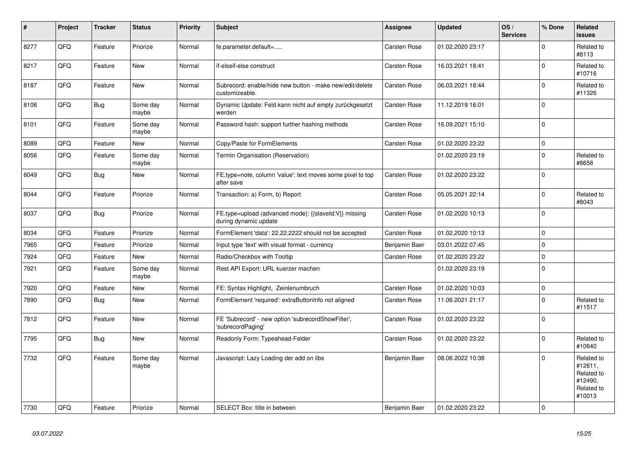| #    | Project | <b>Tracker</b> | <b>Status</b>     | <b>Priority</b> | <b>Subject</b>                                                                 | Assignee      | <b>Updated</b>   | OS/<br><b>Services</b> | % Done              | <b>Related</b><br><b>issues</b>                                        |
|------|---------|----------------|-------------------|-----------------|--------------------------------------------------------------------------------|---------------|------------------|------------------------|---------------------|------------------------------------------------------------------------|
| 8277 | QFQ     | Feature        | Priorize          | Normal          | fe.parameter.default=                                                          | Carsten Rose  | 01.02.2020 23:17 |                        | $\mathbf 0$         | Related to<br>#8113                                                    |
| 8217 | QFQ     | Feature        | <b>New</b>        | Normal          | if-elseif-else construct                                                       | Carsten Rose  | 16.03.2021 18:41 |                        | $\mathbf 0$         | Related to<br>#10716                                                   |
| 8187 | QFQ     | Feature        | New               | Normal          | Subrecord: enable/hide new button - make new/edit/delete<br>customizeable.     | Carsten Rose  | 06.03.2021 18:44 |                        | $\mathbf 0$         | Related to<br>#11326                                                   |
| 8106 | QFQ     | <b>Bug</b>     | Some day<br>maybe | Normal          | Dynamic Update: Feld kann nicht auf empty zurückgesetzt<br>werden              | Carsten Rose  | 11.12.2019 16:01 |                        | $\mathbf 0$         |                                                                        |
| 8101 | QFQ     | Feature        | Some day<br>maybe | Normal          | Password hash: support further hashing methods                                 | Carsten Rose  | 16.09.2021 15:10 |                        | $\mathbf 0$         |                                                                        |
| 8089 | QFQ     | Feature        | New               | Normal          | Copy/Paste for FormElements                                                    | Carsten Rose  | 01.02.2020 23:22 |                        | $\mathsf{O}\xspace$ |                                                                        |
| 8056 | QFQ     | Feature        | Some day<br>maybe | Normal          | Termin Organisation (Reservation)                                              |               | 01.02.2020 23:19 |                        | $\mathbf 0$         | Related to<br>#8658                                                    |
| 8049 | QFQ     | Bug            | <b>New</b>        | Normal          | FE.type=note, column 'value': text moves some pixel to top<br>after save       | Carsten Rose  | 01.02.2020 23:22 |                        | $\mathbf 0$         |                                                                        |
| 8044 | QFQ     | Feature        | Priorize          | Normal          | Transaction: a) Form, b) Report                                                | Carsten Rose  | 05.05.2021 22:14 |                        | $\Omega$            | Related to<br>#8043                                                    |
| 8037 | QFQ     | Bug            | Priorize          | Normal          | FE.type=upload (advanced mode): {{slaveId:V}} missing<br>during dynamic update | Carsten Rose  | 01.02.2020 10:13 |                        | $\mathbf 0$         |                                                                        |
| 8034 | QFQ     | Feature        | Priorize          | Normal          | FormElement 'data': 22.22.2222 should not be accepted                          | Carsten Rose  | 01.02.2020 10:13 |                        | $\mathbf 0$         |                                                                        |
| 7965 | QFQ     | Feature        | Priorize          | Normal          | Input type 'text' with visual format - currency                                | Benjamin Baer | 03.01.2022 07:45 |                        | $\mathbf 0$         |                                                                        |
| 7924 | QFQ     | Feature        | New               | Normal          | Radio/Checkbox with Tooltip                                                    | Carsten Rose  | 01.02.2020 23:22 |                        | $\mathbf 0$         |                                                                        |
| 7921 | QFQ     | Feature        | Some day<br>maybe | Normal          | Rest API Export: URL kuerzer machen                                            |               | 01.02.2020 23:19 |                        | $\Omega$            |                                                                        |
| 7920 | QFQ     | Feature        | New               | Normal          | FE: Syntax Highlight, Zeinlenumbruch                                           | Carsten Rose  | 01.02.2020 10:03 |                        | $\pmb{0}$           |                                                                        |
| 7890 | QFQ     | <b>Bug</b>     | New               | Normal          | FormElement 'required': extraButtonInfo not aligned                            | Carsten Rose  | 11.06.2021 21:17 |                        | $\mathbf 0$         | Related to<br>#11517                                                   |
| 7812 | QFQ     | Feature        | New               | Normal          | FE 'Subrecord' - new option 'subrecordShowFilter',<br>'subrecordPaging'        | Carsten Rose  | 01.02.2020 23:22 |                        | $\Omega$            |                                                                        |
| 7795 | QFQ     | Bug            | New               | Normal          | Readonly Form: Typeahead-Felder                                                | Carsten Rose  | 01.02.2020 23:22 |                        | $\Omega$            | Related to<br>#10640                                                   |
| 7732 | QFQ     | Feature        | Some day<br>maybe | Normal          | Javascript: Lazy Loading der add on libs                                       | Benjamin Baer | 08.06.2022 10:38 |                        | $\mathbf 0$         | Related to<br>#12611.<br>Related to<br>#12490,<br>Related to<br>#10013 |
| 7730 | QFQ     | Feature        | Priorize          | Normal          | SELECT Box: title in between                                                   | Benjamin Baer | 01.02.2020 23:22 |                        | $\mathbf 0$         |                                                                        |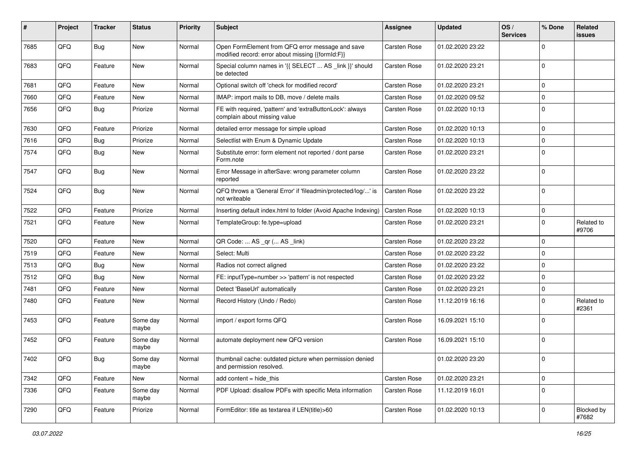| #    | Project | <b>Tracker</b> | <b>Status</b>     | <b>Priority</b> | <b>Subject</b>                                                                                        | <b>Assignee</b> | <b>Updated</b>   | OS/<br><b>Services</b> | % Done       | Related<br>issues   |
|------|---------|----------------|-------------------|-----------------|-------------------------------------------------------------------------------------------------------|-----------------|------------------|------------------------|--------------|---------------------|
| 7685 | QFQ     | Bug            | <b>New</b>        | Normal          | Open FormElement from QFQ error message and save<br>modified record: error about missing {{formId:F}} | Carsten Rose    | 01.02.2020 23:22 |                        | $\Omega$     |                     |
| 7683 | QFQ     | Feature        | New               | Normal          | Special column names in '{{ SELECT  AS _link }}' should<br>be detected                                | Carsten Rose    | 01.02.2020 23:21 |                        | $\mathbf{0}$ |                     |
| 7681 | QFQ     | Feature        | <b>New</b>        | Normal          | Optional switch off 'check for modified record'                                                       | Carsten Rose    | 01.02.2020 23:21 |                        | $\mathbf{0}$ |                     |
| 7660 | QFQ     | Feature        | New               | Normal          | IMAP: import mails to DB, move / delete mails                                                         | Carsten Rose    | 01.02.2020 09:52 |                        | $\mathbf 0$  |                     |
| 7656 | QFQ     | Bug            | Priorize          | Normal          | FE with required, 'pattern' and 'extraButtonLock': always<br>complain about missing value             | Carsten Rose    | 01.02.2020 10:13 |                        | $\mathbf{0}$ |                     |
| 7630 | QFQ     | Feature        | Priorize          | Normal          | detailed error message for simple upload                                                              | Carsten Rose    | 01.02.2020 10:13 |                        | $\mathbf 0$  |                     |
| 7616 | QFQ     | <b>Bug</b>     | Priorize          | Normal          | Selectlist with Enum & Dynamic Update                                                                 | Carsten Rose    | 01.02.2020 10:13 |                        | $\mathbf 0$  |                     |
| 7574 | QFQ     | <b>Bug</b>     | New               | Normal          | Substitute error: form element not reported / dont parse<br>Form.note                                 | Carsten Rose    | 01.02.2020 23:21 |                        | $\Omega$     |                     |
| 7547 | QFQ     | Bug            | New               | Normal          | Error Message in afterSave: wrong parameter column<br>reported                                        | Carsten Rose    | 01.02.2020 23:22 |                        | $\mathbf{0}$ |                     |
| 7524 | QFQ     | Bug            | <b>New</b>        | Normal          | QFQ throws a 'General Error' if 'fileadmin/protected/log/' is<br>not writeable                        | Carsten Rose    | 01.02.2020 23:22 |                        | $\Omega$     |                     |
| 7522 | QFQ     | Feature        | Priorize          | Normal          | Inserting default index.html to folder (Avoid Apache Indexing)                                        | Carsten Rose    | 01.02.2020 10:13 |                        | $\mathbf 0$  |                     |
| 7521 | QFQ     | Feature        | <b>New</b>        | Normal          | TemplateGroup: fe.type=upload                                                                         | Carsten Rose    | 01.02.2020 23:21 |                        | $\Omega$     | Related to<br>#9706 |
| 7520 | QFQ     | Feature        | <b>New</b>        | Normal          | QR Code:  AS _qr ( AS _link)                                                                          | Carsten Rose    | 01.02.2020 23:22 |                        | $\mathbf{0}$ |                     |
| 7519 | QFQ     | Feature        | New               | Normal          | Select: Multi                                                                                         | Carsten Rose    | 01.02.2020 23:22 |                        | $\mathbf 0$  |                     |
| 7513 | QFQ     | Bug            | <b>New</b>        | Normal          | Radios not correct aligned                                                                            | Carsten Rose    | 01.02.2020 23:22 |                        | $\mathbf 0$  |                     |
| 7512 | QFQ     | Bug            | <b>New</b>        | Normal          | FE: inputType=number >> 'pattern' is not respected                                                    | Carsten Rose    | 01.02.2020 23:22 |                        | $\Omega$     |                     |
| 7481 | QFQ     | Feature        | New               | Normal          | Detect 'BaseUrl' automatically                                                                        | Carsten Rose    | 01.02.2020 23:21 |                        | $\mathbf 0$  |                     |
| 7480 | QFQ     | Feature        | New               | Normal          | Record History (Undo / Redo)                                                                          | Carsten Rose    | 11.12.2019 16:16 |                        | $\Omega$     | Related to<br>#2361 |
| 7453 | QFQ     | Feature        | Some day<br>maybe | Normal          | import / export forms QFQ                                                                             | Carsten Rose    | 16.09.2021 15:10 |                        | $\Omega$     |                     |
| 7452 | QFQ     | Feature        | Some day<br>maybe | Normal          | automate deployment new QFQ version                                                                   | Carsten Rose    | 16.09.2021 15:10 |                        | l 0          |                     |
| 7402 | QFQ     | Bug            | Some day<br>maybe | Normal          | thumbnail cache: outdated picture when permission denied<br>and permission resolved.                  |                 | 01.02.2020 23:20 |                        | $\mathbf 0$  |                     |
| 7342 | QFQ     | Feature        | New               | Normal          | add content $=$ hide this                                                                             | Carsten Rose    | 01.02.2020 23:21 |                        | $\mathbf 0$  |                     |
| 7336 | QFQ     | Feature        | Some day<br>maybe | Normal          | PDF Upload: disallow PDFs with specific Meta information                                              | Carsten Rose    | 11.12.2019 16:01 |                        | $\mathbf{0}$ |                     |
| 7290 | QFQ     | Feature        | Priorize          | Normal          | FormEditor: title as textarea if LEN(title)>60                                                        | Carsten Rose    | 01.02.2020 10:13 |                        | 0            | Blocked by<br>#7682 |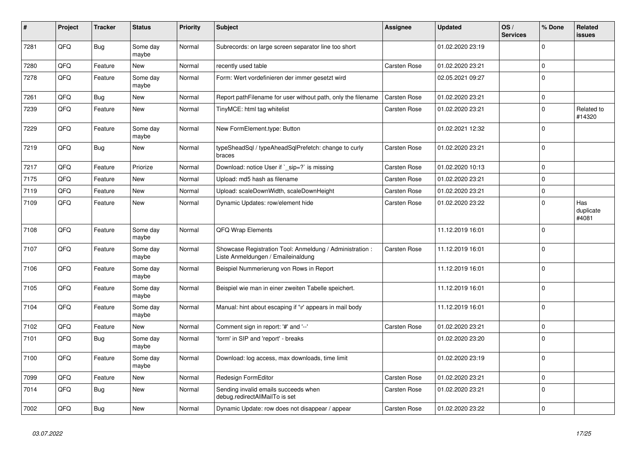| #    | Project | <b>Tracker</b> | <b>Status</b>     | <b>Priority</b> | <b>Subject</b>                                                                                 | <b>Assignee</b>     | <b>Updated</b>   | OS/<br><b>Services</b> | % Done              | <b>Related</b><br><b>issues</b> |
|------|---------|----------------|-------------------|-----------------|------------------------------------------------------------------------------------------------|---------------------|------------------|------------------------|---------------------|---------------------------------|
| 7281 | QFQ     | <b>Bug</b>     | Some day<br>maybe | Normal          | Subrecords: on large screen separator line too short                                           |                     | 01.02.2020 23:19 |                        | $\Omega$            |                                 |
| 7280 | QFQ     | Feature        | <b>New</b>        | Normal          | recently used table                                                                            | <b>Carsten Rose</b> | 01.02.2020 23:21 |                        | $\mathsf{O}\xspace$ |                                 |
| 7278 | QFQ     | Feature        | Some day<br>maybe | Normal          | Form: Wert vordefinieren der immer gesetzt wird                                                |                     | 02.05.2021 09:27 |                        | $\mathbf 0$         |                                 |
| 7261 | QFQ     | <b>Bug</b>     | <b>New</b>        | Normal          | Report pathFilename for user without path, only the filename                                   | Carsten Rose        | 01.02.2020 23:21 |                        | $\mathsf{O}\xspace$ |                                 |
| 7239 | QFQ     | Feature        | New               | Normal          | TinyMCE: html tag whitelist                                                                    | Carsten Rose        | 01.02.2020 23:21 |                        | $\pmb{0}$           | Related to<br>#14320            |
| 7229 | QFQ     | Feature        | Some day<br>maybe | Normal          | New FormElement.type: Button                                                                   |                     | 01.02.2021 12:32 |                        | $\mathbf 0$         |                                 |
| 7219 | QFQ     | <b>Bug</b>     | <b>New</b>        | Normal          | typeSheadSql / typeAheadSqlPrefetch: change to curly<br>braces                                 | Carsten Rose        | 01.02.2020 23:21 |                        | $\Omega$            |                                 |
| 7217 | QFQ     | Feature        | Priorize          | Normal          | Download: notice User if `_sip=?` is missing                                                   | Carsten Rose        | 01.02.2020 10:13 |                        | $\mathbf 0$         |                                 |
| 7175 | QFQ     | Feature        | <b>New</b>        | Normal          | Upload: md5 hash as filename                                                                   | Carsten Rose        | 01.02.2020 23:21 |                        | $\mathbf 0$         |                                 |
| 7119 | QFQ     | Feature        | <b>New</b>        | Normal          | Upload: scaleDownWidth, scaleDownHeight                                                        | Carsten Rose        | 01.02.2020 23:21 |                        | $\mathbf 0$         |                                 |
| 7109 | QFQ     | Feature        | New               | Normal          | Dynamic Updates: row/element hide                                                              | Carsten Rose        | 01.02.2020 23:22 |                        | $\mathbf 0$         | Has<br>duplicate<br>#4081       |
| 7108 | QFQ     | Feature        | Some day<br>maybe | Normal          | QFQ Wrap Elements                                                                              |                     | 11.12.2019 16:01 |                        | $\mathbf 0$         |                                 |
| 7107 | QFQ     | Feature        | Some day<br>maybe | Normal          | Showcase Registration Tool: Anmeldung / Administration :<br>Liste Anmeldungen / Emaileinaldung | Carsten Rose        | 11.12.2019 16:01 |                        | $\pmb{0}$           |                                 |
| 7106 | QFQ     | Feature        | Some day<br>maybe | Normal          | Beispiel Nummerierung von Rows in Report                                                       |                     | 11.12.2019 16:01 |                        | $\mathbf 0$         |                                 |
| 7105 | QFQ     | Feature        | Some day<br>maybe | Normal          | Beispiel wie man in einer zweiten Tabelle speichert.                                           |                     | 11.12.2019 16:01 |                        | $\mathbf 0$         |                                 |
| 7104 | QFQ     | Feature        | Some day<br>maybe | Normal          | Manual: hint about escaping if '\r' appears in mail body                                       |                     | 11.12.2019 16:01 |                        | $\pmb{0}$           |                                 |
| 7102 | QFQ     | Feature        | New               | Normal          | Comment sign in report: '#' and '--'                                                           | <b>Carsten Rose</b> | 01.02.2020 23:21 |                        | $\mathbf 0$         |                                 |
| 7101 | QFQ     | <b>Bug</b>     | Some day<br>maybe | Normal          | 'form' in SIP and 'report' - breaks                                                            |                     | 01.02.2020 23:20 |                        | $\mathbf 0$         |                                 |
| 7100 | QFQ     | Feature        | Some day<br>maybe | Normal          | Download: log access, max downloads, time limit                                                |                     | 01.02.2020 23:19 |                        | $\Omega$            |                                 |
| 7099 | QFQ     | Feature        | <b>New</b>        | Normal          | Redesign FormEditor                                                                            | Carsten Rose        | 01.02.2020 23:21 |                        | $\mathbf 0$         |                                 |
| 7014 | QFQ     | <b>Bug</b>     | <b>New</b>        | Normal          | Sending invalid emails succeeds when<br>debug.redirectAllMailTo is set                         | Carsten Rose        | 01.02.2020 23:21 |                        | $\mathbf 0$         |                                 |
| 7002 | QFQ     | Bug            | <b>New</b>        | Normal          | Dynamic Update: row does not disappear / appear                                                | Carsten Rose        | 01.02.2020 23:22 |                        | $\mathbf 0$         |                                 |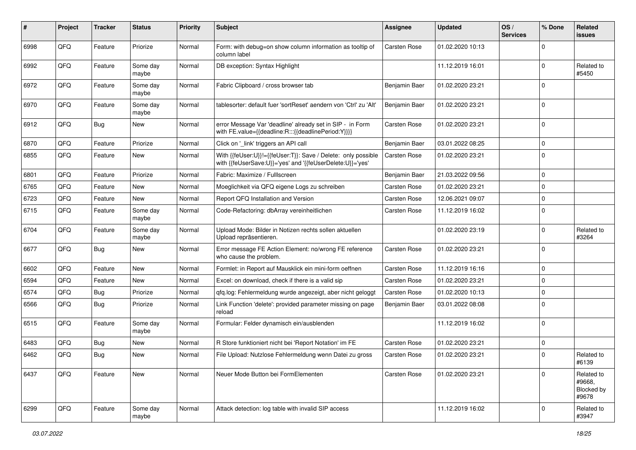| #    | Project | <b>Tracker</b> | <b>Status</b>     | Priority | <b>Subject</b>                                                                                                             | <b>Assignee</b> | <b>Updated</b>   | OS/<br><b>Services</b> | % Done      | Related<br>issues                           |
|------|---------|----------------|-------------------|----------|----------------------------------------------------------------------------------------------------------------------------|-----------------|------------------|------------------------|-------------|---------------------------------------------|
| 6998 | QFQ     | Feature        | Priorize          | Normal   | Form: with debug=on show column information as tooltip of<br>column label                                                  | Carsten Rose    | 01.02.2020 10:13 |                        | $\Omega$    |                                             |
| 6992 | QFQ     | Feature        | Some day<br>maybe | Normal   | DB exception: Syntax Highlight                                                                                             |                 | 11.12.2019 16:01 |                        | $\Omega$    | Related to<br>#5450                         |
| 6972 | QFQ     | Feature        | Some day<br>maybe | Normal   | Fabric Clipboard / cross browser tab                                                                                       | Benjamin Baer   | 01.02.2020 23:21 |                        | $\Omega$    |                                             |
| 6970 | QFQ     | Feature        | Some day<br>maybe | Normal   | tablesorter: default fuer 'sortReset' aendern von 'Ctrl' zu 'Alt'                                                          | Benjamin Baer   | 01.02.2020 23:21 |                        | $\mathbf 0$ |                                             |
| 6912 | QFQ     | Bug            | New               | Normal   | error Message Var 'deadline' already set in SIP - in Form<br>with FE.value={{deadline:R:::{{deadlinePeriod:Y}}}}           | Carsten Rose    | 01.02.2020 23:21 |                        | $\mathbf 0$ |                                             |
| 6870 | QFQ     | Feature        | Priorize          | Normal   | Click on '_link' triggers an API call                                                                                      | Benjamin Baer   | 03.01.2022 08:25 |                        | $\mathbf 0$ |                                             |
| 6855 | QFQ     | Feature        | New               | Normal   | With {{feUser:U}}!={{feUser:T}}: Save / Delete: only possible<br>with {{feUserSave:U}}='yes' and '{{feUserDelete:U}}='yes' | Carsten Rose    | 01.02.2020 23:21 |                        | $\Omega$    |                                             |
| 6801 | QFQ     | Feature        | Priorize          | Normal   | Fabric: Maximize / FullIscreen                                                                                             | Benjamin Baer   | 21.03.2022 09:56 |                        | $\mathbf 0$ |                                             |
| 6765 | QFQ     | Feature        | New               | Normal   | Moeglichkeit via QFQ eigene Logs zu schreiben                                                                              | Carsten Rose    | 01.02.2020 23:21 |                        | $\mathbf 0$ |                                             |
| 6723 | QFQ     | Feature        | New               | Normal   | Report QFQ Installation and Version                                                                                        | Carsten Rose    | 12.06.2021 09:07 |                        | $\Omega$    |                                             |
| 6715 | QFQ     | Feature        | Some day<br>maybe | Normal   | Code-Refactoring: dbArray vereinheitlichen                                                                                 | Carsten Rose    | 11.12.2019 16:02 |                        | $\mathbf 0$ |                                             |
| 6704 | QFQ     | Feature        | Some day<br>maybe | Normal   | Upload Mode: Bilder in Notizen rechts sollen aktuellen<br>Upload repräsentieren.                                           |                 | 01.02.2020 23:19 |                        | $\mathbf 0$ | Related to<br>#3264                         |
| 6677 | QFQ     | Bug            | New               | Normal   | Error message FE Action Element: no/wrong FE reference<br>who cause the problem.                                           | Carsten Rose    | 01.02.2020 23:21 |                        | $\Omega$    |                                             |
| 6602 | QFQ     | Feature        | <b>New</b>        | Normal   | Formlet: in Report auf Mausklick ein mini-form oeffnen                                                                     | Carsten Rose    | 11.12.2019 16:16 |                        | $\mathbf 0$ |                                             |
| 6594 | QFQ     | Feature        | New               | Normal   | Excel: on download, check if there is a valid sip                                                                          | Carsten Rose    | 01.02.2020 23:21 |                        | 0           |                                             |
| 6574 | QFQ     | <b>Bug</b>     | Priorize          | Normal   | qfq.log: Fehlermeldung wurde angezeigt, aber nicht geloggt                                                                 | Carsten Rose    | 01.02.2020 10:13 |                        | $\mathbf 0$ |                                             |
| 6566 | QFQ     | <b>Bug</b>     | Priorize          | Normal   | Link Function 'delete': provided parameter missing on page<br>reload                                                       | Benjamin Baer   | 03.01.2022 08:08 |                        | $\Omega$    |                                             |
| 6515 | QFQ     | Feature        | Some day<br>maybe | Normal   | Formular: Felder dynamisch ein/ausblenden                                                                                  |                 | 11.12.2019 16:02 |                        | $\Omega$    |                                             |
| 6483 | QFQ     | Bug            | New               | Normal   | R Store funktioniert nicht bei 'Report Notation' im FE                                                                     | Carsten Rose    | 01.02.2020 23:21 |                        | $\mathbf 0$ |                                             |
| 6462 | QFQ     | Bug            | New               | Normal   | File Upload: Nutzlose Fehlermeldung wenn Datei zu gross                                                                    | Carsten Rose    | 01.02.2020 23:21 |                        | $\Omega$    | Related to<br>#6139                         |
| 6437 | QFQ     | Feature        | <b>New</b>        | Normal   | Neuer Mode Button bei FormElementen                                                                                        | Carsten Rose    | 01.02.2020 23:21 |                        | $\mathbf 0$ | Related to<br>#9668,<br>Blocked by<br>#9678 |
| 6299 | QFQ     | Feature        | Some day<br>maybe | Normal   | Attack detection: log table with invalid SIP access                                                                        |                 | 11.12.2019 16:02 |                        | 0           | Related to<br>#3947                         |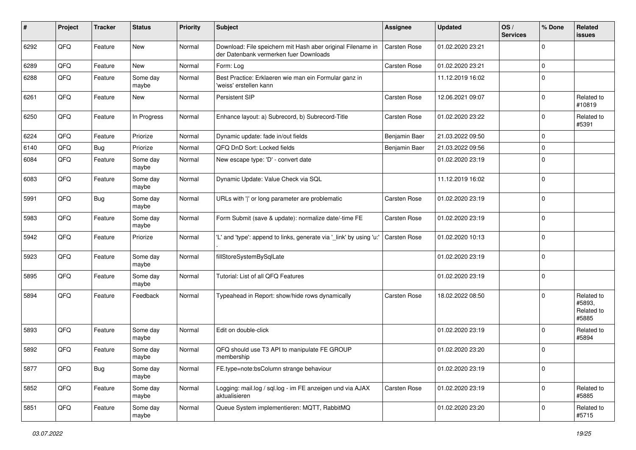| #    | Project | <b>Tracker</b> | <b>Status</b>     | <b>Priority</b> | <b>Subject</b>                                                                                        | Assignee            | <b>Updated</b>   | OS/<br><b>Services</b> | % Done      | Related<br>issues                           |
|------|---------|----------------|-------------------|-----------------|-------------------------------------------------------------------------------------------------------|---------------------|------------------|------------------------|-------------|---------------------------------------------|
| 6292 | QFQ     | Feature        | <b>New</b>        | Normal          | Download: File speichern mit Hash aber original Filename in<br>der Datenbank vermerken fuer Downloads | Carsten Rose        | 01.02.2020 23:21 |                        | $\Omega$    |                                             |
| 6289 | QFQ     | Feature        | New               | Normal          | Form: Log                                                                                             | Carsten Rose        | 01.02.2020 23:21 |                        | $\mathbf 0$ |                                             |
| 6288 | QFQ     | Feature        | Some day<br>maybe | Normal          | Best Practice: Erklaeren wie man ein Formular ganz in<br>'weiss' erstellen kann                       |                     | 11.12.2019 16:02 |                        | $\mathbf 0$ |                                             |
| 6261 | QFQ     | Feature        | <b>New</b>        | Normal          | Persistent SIP                                                                                        | Carsten Rose        | 12.06.2021 09:07 |                        | $\mathbf 0$ | Related to<br>#10819                        |
| 6250 | QFQ     | Feature        | In Progress       | Normal          | Enhance layout: a) Subrecord, b) Subrecord-Title                                                      | <b>Carsten Rose</b> | 01.02.2020 23:22 |                        | $\mathbf 0$ | Related to<br>#5391                         |
| 6224 | QFQ     | Feature        | Priorize          | Normal          | Dynamic update: fade in/out fields                                                                    | Benjamin Baer       | 21.03.2022 09:50 |                        | $\mathbf 0$ |                                             |
| 6140 | QFQ     | <b>Bug</b>     | Priorize          | Normal          | QFQ DnD Sort: Locked fields                                                                           | Benjamin Baer       | 21.03.2022 09:56 |                        | $\mathbf 0$ |                                             |
| 6084 | QFQ     | Feature        | Some day<br>maybe | Normal          | New escape type: 'D' - convert date                                                                   |                     | 01.02.2020 23:19 |                        | $\mathbf 0$ |                                             |
| 6083 | QFQ     | Feature        | Some day<br>maybe | Normal          | Dynamic Update: Value Check via SQL                                                                   |                     | 11.12.2019 16:02 |                        | $\mathbf 0$ |                                             |
| 5991 | QFQ     | Bug            | Some day<br>maybe | Normal          | URLs with ' ' or long parameter are problematic                                                       | Carsten Rose        | 01.02.2020 23:19 |                        | $\mathbf 0$ |                                             |
| 5983 | QFQ     | Feature        | Some day<br>maybe | Normal          | Form Submit (save & update): normalize date/-time FE                                                  | Carsten Rose        | 01.02.2020 23:19 |                        | $\mathbf 0$ |                                             |
| 5942 | QFQ     | Feature        | Priorize          | Normal          | 'L' and 'type': append to links, generate via '_link' by using 'u:'                                   | Carsten Rose        | 01.02.2020 10:13 |                        | $\mathbf 0$ |                                             |
| 5923 | QFQ     | Feature        | Some day<br>maybe | Normal          | fillStoreSystemBySqlLate                                                                              |                     | 01.02.2020 23:19 |                        | $\mathbf 0$ |                                             |
| 5895 | QFQ     | Feature        | Some day<br>maybe | Normal          | Tutorial: List of all QFQ Features                                                                    |                     | 01.02.2020 23:19 |                        | $\mathbf 0$ |                                             |
| 5894 | QFQ     | Feature        | Feedback          | Normal          | Typeahead in Report: show/hide rows dynamically                                                       | <b>Carsten Rose</b> | 18.02.2022 08:50 |                        | $\mathbf 0$ | Related to<br>#5893.<br>Related to<br>#5885 |
| 5893 | QFQ     | Feature        | Some day<br>maybe | Normal          | Edit on double-click                                                                                  |                     | 01.02.2020 23:19 |                        | 0           | Related to<br>#5894                         |
| 5892 | QFQ     | Feature        | Some day<br>maybe | Normal          | QFQ should use T3 API to manipulate FE GROUP<br>membership                                            |                     | 01.02.2020 23:20 |                        | $\mathbf 0$ |                                             |
| 5877 | QFQ     | <b>Bug</b>     | Some day<br>maybe | Normal          | FE.type=note:bsColumn strange behaviour                                                               |                     | 01.02.2020 23:19 |                        | $\mathbf 0$ |                                             |
| 5852 | QFQ     | Feature        | Some day<br>maybe | Normal          | Logging: mail.log / sql.log - im FE anzeigen und via AJAX<br>aktualisieren                            | Carsten Rose        | 01.02.2020 23:19 |                        | $\mathbf 0$ | Related to<br>#5885                         |
| 5851 | QFQ     | Feature        | Some day<br>maybe | Normal          | Queue System implementieren: MQTT, RabbitMQ                                                           |                     | 01.02.2020 23:20 |                        | 0           | Related to<br>#5715                         |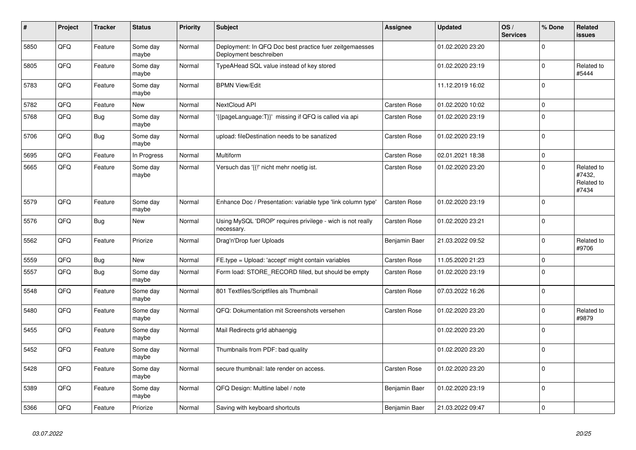| #    | Project | <b>Tracker</b> | <b>Status</b>     | <b>Priority</b> | <b>Subject</b>                                                                    | Assignee      | <b>Updated</b>   | OS/<br><b>Services</b> | % Done       | <b>Related</b><br><b>issues</b>             |
|------|---------|----------------|-------------------|-----------------|-----------------------------------------------------------------------------------|---------------|------------------|------------------------|--------------|---------------------------------------------|
| 5850 | QFQ     | Feature        | Some day<br>maybe | Normal          | Deployment: In QFQ Doc best practice fuer zeitgemaesses<br>Deployment beschreiben |               | 01.02.2020 23:20 |                        | $\Omega$     |                                             |
| 5805 | QFQ     | Feature        | Some day<br>maybe | Normal          | TypeAHead SQL value instead of key stored                                         |               | 01.02.2020 23:19 |                        | $\Omega$     | Related to<br>#5444                         |
| 5783 | QFQ     | Feature        | Some day<br>maybe | Normal          | <b>BPMN View/Edit</b>                                                             |               | 11.12.2019 16:02 |                        | $\Omega$     |                                             |
| 5782 | QFQ     | Feature        | New               | Normal          | NextCloud API                                                                     | Carsten Rose  | 01.02.2020 10:02 |                        | $\mathbf 0$  |                                             |
| 5768 | QFQ     | <b>Bug</b>     | Some day<br>maybe | Normal          | '{{pageLanguage:T}}' missing if QFQ is called via api                             | Carsten Rose  | 01.02.2020 23:19 |                        | $\Omega$     |                                             |
| 5706 | QFQ     | Bug            | Some day<br>maybe | Normal          | upload: fileDestination needs to be sanatized                                     | Carsten Rose  | 01.02.2020 23:19 |                        | $\Omega$     |                                             |
| 5695 | QFQ     | Feature        | In Progress       | Normal          | Multiform                                                                         | Carsten Rose  | 02.01.2021 18:38 |                        | $\Omega$     |                                             |
| 5665 | QFQ     | Feature        | Some day<br>maybe | Normal          | Versuch das '{{!' nicht mehr noetig ist.                                          | Carsten Rose  | 01.02.2020 23:20 |                        | $\mathbf{0}$ | Related to<br>#7432,<br>Related to<br>#7434 |
| 5579 | QFQ     | Feature        | Some day<br>maybe | Normal          | Enhance Doc / Presentation: variable type 'link column type'                      | Carsten Rose  | 01.02.2020 23:19 |                        | $\mathbf 0$  |                                             |
| 5576 | QFQ     | <b>Bug</b>     | New               | Normal          | Using MySQL 'DROP' requires privilege - wich is not really<br>necessary.          | Carsten Rose  | 01.02.2020 23:21 |                        | $\Omega$     |                                             |
| 5562 | QFQ     | Feature        | Priorize          | Normal          | Drag'n'Drop fuer Uploads                                                          | Benjamin Baer | 21.03.2022 09:52 |                        | $\Omega$     | Related to<br>#9706                         |
| 5559 | QFQ     | <b>Bug</b>     | New               | Normal          | FE.type = Upload: 'accept' might contain variables                                | Carsten Rose  | 11.05.2020 21:23 |                        | $\mathbf 0$  |                                             |
| 5557 | QFQ     | <b>Bug</b>     | Some day<br>maybe | Normal          | Form load: STORE RECORD filled, but should be empty                               | Carsten Rose  | 01.02.2020 23:19 |                        | $\mathbf{0}$ |                                             |
| 5548 | QFQ     | Feature        | Some day<br>maybe | Normal          | 801 Textfiles/Scriptfiles als Thumbnail                                           | Carsten Rose  | 07.03.2022 16:26 |                        | $\mathbf 0$  |                                             |
| 5480 | QFQ     | Feature        | Some day<br>maybe | Normal          | QFQ: Dokumentation mit Screenshots versehen                                       | Carsten Rose  | 01.02.2020 23:20 |                        | $\Omega$     | Related to<br>#9879                         |
| 5455 | QFQ     | Feature        | Some day<br>maybe | Normal          | Mail Redirects grld abhaengig                                                     |               | 01.02.2020 23:20 |                        | $\Omega$     |                                             |
| 5452 | QFQ     | Feature        | Some day<br>maybe | Normal          | Thumbnails from PDF: bad quality                                                  |               | 01.02.2020 23:20 |                        | $\Omega$     |                                             |
| 5428 | QFQ     | Feature        | Some day<br>maybe | Normal          | secure thumbnail: late render on access.                                          | Carsten Rose  | 01.02.2020 23:20 |                        | $\mathbf{0}$ |                                             |
| 5389 | QFQ     | Feature        | Some day<br>maybe | Normal          | QFQ Design: Multline label / note                                                 | Benjamin Baer | 01.02.2020 23:19 |                        | $\Omega$     |                                             |
| 5366 | QFQ     | Feature        | Priorize          | Normal          | Saving with keyboard shortcuts                                                    | Benjamin Baer | 21.03.2022 09:47 |                        | $\Omega$     |                                             |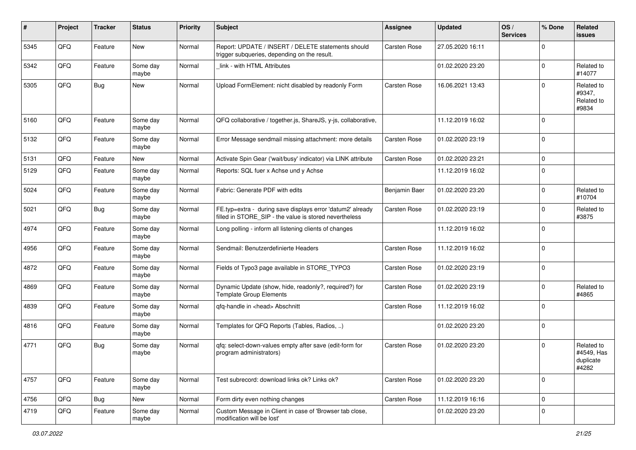| #    | Project | <b>Tracker</b> | <b>Status</b>     | <b>Priority</b> | <b>Subject</b>                                                                                                       | Assignee      | <b>Updated</b>   | OS/<br><b>Services</b> | % Done       | Related<br><b>issues</b>                       |
|------|---------|----------------|-------------------|-----------------|----------------------------------------------------------------------------------------------------------------------|---------------|------------------|------------------------|--------------|------------------------------------------------|
| 5345 | QFQ     | Feature        | New               | Normal          | Report: UPDATE / INSERT / DELETE statements should<br>trigger subqueries, depending on the result.                   | Carsten Rose  | 27.05.2020 16:11 |                        | $\Omega$     |                                                |
| 5342 | QFQ     | Feature        | Some day<br>maybe | Normal          | link - with HTML Attributes                                                                                          |               | 01.02.2020 23:20 |                        | $\Omega$     | Related to<br>#14077                           |
| 5305 | QFQ     | Bug            | New               | Normal          | Upload FormElement: nicht disabled by readonly Form                                                                  | Carsten Rose  | 16.06.2021 13:43 |                        | $\Omega$     | Related to<br>#9347,<br>Related to<br>#9834    |
| 5160 | QFQ     | Feature        | Some day<br>maybe | Normal          | QFQ collaborative / together.js, ShareJS, y-js, collaborative,                                                       |               | 11.12.2019 16:02 |                        | $\mathbf{0}$ |                                                |
| 5132 | QFQ     | Feature        | Some day<br>maybe | Normal          | Error Message sendmail missing attachment: more details                                                              | Carsten Rose  | 01.02.2020 23:19 |                        | $\mathbf{0}$ |                                                |
| 5131 | QFQ     | Feature        | New               | Normal          | Activate Spin Gear ('wait/busy' indicator) via LINK attribute                                                        | Carsten Rose  | 01.02.2020 23:21 |                        | $\mathbf 0$  |                                                |
| 5129 | QFQ     | Feature        | Some day<br>maybe | Normal          | Reports: SQL fuer x Achse und y Achse                                                                                |               | 11.12.2019 16:02 |                        | $\mathbf 0$  |                                                |
| 5024 | QFQ     | Feature        | Some day<br>maybe | Normal          | Fabric: Generate PDF with edits                                                                                      | Benjamin Baer | 01.02.2020 23:20 |                        | $\Omega$     | Related to<br>#10704                           |
| 5021 | QFQ     | <b>Bug</b>     | Some day<br>maybe | Normal          | FE.typ=extra - during save displays error 'datum2' already<br>filled in STORE SIP - the value is stored nevertheless | Carsten Rose  | 01.02.2020 23:19 |                        | $\mathbf{0}$ | Related to<br>#3875                            |
| 4974 | QFQ     | Feature        | Some day<br>maybe | Normal          | Long polling - inform all listening clients of changes                                                               |               | 11.12.2019 16:02 |                        | $\mathbf 0$  |                                                |
| 4956 | QFQ     | Feature        | Some day<br>maybe | Normal          | Sendmail: Benutzerdefinierte Headers                                                                                 | Carsten Rose  | 11.12.2019 16:02 |                        | $\mathbf{0}$ |                                                |
| 4872 | QFQ     | Feature        | Some day<br>maybe | Normal          | Fields of Typo3 page available in STORE_TYPO3                                                                        | Carsten Rose  | 01.02.2020 23:19 |                        | $\Omega$     |                                                |
| 4869 | QFQ     | Feature        | Some day<br>maybe | Normal          | Dynamic Update (show, hide, readonly?, required?) for<br><b>Template Group Elements</b>                              | Carsten Rose  | 01.02.2020 23:19 |                        | $\Omega$     | Related to<br>#4865                            |
| 4839 | QFQ     | Feature        | Some day<br>maybe | Normal          | qfq-handle in <head> Abschnitt</head>                                                                                | Carsten Rose  | 11.12.2019 16:02 |                        | $\Omega$     |                                                |
| 4816 | QFQ     | Feature        | Some day<br>maybe | Normal          | Templates for QFQ Reports (Tables, Radios, )                                                                         |               | 01.02.2020 23:20 |                        | $\mathbf{0}$ |                                                |
| 4771 | QFQ     | Bug            | Some day<br>maybe | Normal          | qfq: select-down-values empty after save (edit-form for<br>program administrators)                                   | Carsten Rose  | 01.02.2020 23:20 |                        | $\mathbf 0$  | Related to<br>#4549, Has<br>duplicate<br>#4282 |
| 4757 | QFQ     | Feature        | Some day<br>maybe | Normal          | Test subrecord: download links ok? Links ok?                                                                         | Carsten Rose  | 01.02.2020 23:20 |                        | $\Omega$     |                                                |
| 4756 | QFQ     | <b>Bug</b>     | New               | Normal          | Form dirty even nothing changes                                                                                      | Carsten Rose  | 11.12.2019 16:16 |                        | $\mathbf 0$  |                                                |
| 4719 | QFQ     | Feature        | Some day<br>maybe | Normal          | Custom Message in Client in case of 'Browser tab close,<br>modification will be lost'                                |               | 01.02.2020 23:20 |                        | 0            |                                                |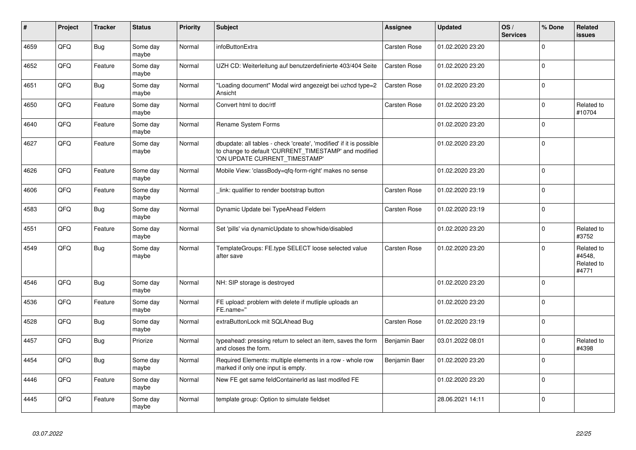| #    | Project | <b>Tracker</b> | <b>Status</b>     | <b>Priority</b> | <b>Subject</b>                                                                                                                                                | <b>Assignee</b> | <b>Updated</b>   | OS/<br><b>Services</b> | % Done       | Related<br><b>issues</b>                    |
|------|---------|----------------|-------------------|-----------------|---------------------------------------------------------------------------------------------------------------------------------------------------------------|-----------------|------------------|------------------------|--------------|---------------------------------------------|
| 4659 | QFQ     | <b>Bug</b>     | Some day<br>maybe | Normal          | infoButtonExtra                                                                                                                                               | Carsten Rose    | 01.02.2020 23:20 |                        | $\Omega$     |                                             |
| 4652 | QFQ     | Feature        | Some day<br>maybe | Normal          | UZH CD: Weiterleitung auf benutzerdefinierte 403/404 Seite                                                                                                    | Carsten Rose    | 01.02.2020 23:20 |                        | $\Omega$     |                                             |
| 4651 | QFQ     | <b>Bug</b>     | Some day<br>maybe | Normal          | 'Loading document" Modal wird angezeigt bei uzhcd type=2<br>Ansicht                                                                                           | Carsten Rose    | 01.02.2020 23:20 |                        | $\mathbf{0}$ |                                             |
| 4650 | QFQ     | Feature        | Some day<br>maybe | Normal          | Convert html to doc/rtf                                                                                                                                       | Carsten Rose    | 01.02.2020 23:20 |                        | $\Omega$     | Related to<br>#10704                        |
| 4640 | QFQ     | Feature        | Some day<br>maybe | Normal          | Rename System Forms                                                                                                                                           |                 | 01.02.2020 23:20 |                        | $\Omega$     |                                             |
| 4627 | QFQ     | Feature        | Some day<br>maybe | Normal          | dbupdate: all tables - check 'create', 'modified' if it is possible<br>to change to default 'CURRENT_TIMESTAMP' and modified<br>'ON UPDATE CURRENT_TIMESTAMP' |                 | 01.02.2020 23:20 |                        | 0            |                                             |
| 4626 | QFQ     | Feature        | Some day<br>maybe | Normal          | Mobile View: 'classBody=qfq-form-right' makes no sense                                                                                                        |                 | 01.02.2020 23:20 |                        | $\Omega$     |                                             |
| 4606 | QFQ     | Feature        | Some day<br>maybe | Normal          | link: qualifier to render bootstrap button                                                                                                                    | Carsten Rose    | 01.02.2020 23:19 |                        | $\Omega$     |                                             |
| 4583 | QFQ     | <b>Bug</b>     | Some day<br>maybe | Normal          | Dynamic Update bei TypeAhead Feldern                                                                                                                          | Carsten Rose    | 01.02.2020 23:19 |                        | $\mathbf 0$  |                                             |
| 4551 | QFQ     | Feature        | Some day<br>maybe | Normal          | Set 'pills' via dynamicUpdate to show/hide/disabled                                                                                                           |                 | 01.02.2020 23:20 |                        | $\Omega$     | Related to<br>#3752                         |
| 4549 | QFQ     | <b>Bug</b>     | Some day<br>maybe | Normal          | TemplateGroups: FE.type SELECT loose selected value<br>after save                                                                                             | Carsten Rose    | 01.02.2020 23:20 |                        | $\mathbf{0}$ | Related to<br>#4548,<br>Related to<br>#4771 |
| 4546 | QFQ     | <b>Bug</b>     | Some day<br>maybe | Normal          | NH: SIP storage is destroyed                                                                                                                                  |                 | 01.02.2020 23:20 |                        | $\Omega$     |                                             |
| 4536 | QFQ     | Feature        | Some day<br>maybe | Normal          | FE upload: problem with delete if mutliple uploads an<br>FE.name="                                                                                            |                 | 01.02.2020 23:20 |                        | $\Omega$     |                                             |
| 4528 | QFQ     | Bug            | Some day<br>maybe | Normal          | extraButtonLock mit SQLAhead Bug                                                                                                                              | Carsten Rose    | 01.02.2020 23:19 |                        | $\Omega$     |                                             |
| 4457 | QFQ     | Bug            | Priorize          | Normal          | typeahead: pressing return to select an item, saves the form<br>and closes the form.                                                                          | Benjamin Baer   | 03.01.2022 08:01 |                        | $\Omega$     | Related to<br>#4398                         |
| 4454 | QFQ     | <b>Bug</b>     | Some day<br>maybe | Normal          | Required Elements: multiple elements in a row - whole row<br>marked if only one input is empty.                                                               | Benjamin Baer   | 01.02.2020 23:20 |                        | $\Omega$     |                                             |
| 4446 | QFQ     | Feature        | Some day<br>maybe | Normal          | New FE get same feldContainerId as last modifed FE                                                                                                            |                 | 01.02.2020 23:20 |                        | $\mathbf{0}$ |                                             |
| 4445 | QFQ     | Feature        | Some day<br>maybe | Normal          | template group: Option to simulate fieldset                                                                                                                   |                 | 28.06.2021 14:11 |                        | $\mathbf{0}$ |                                             |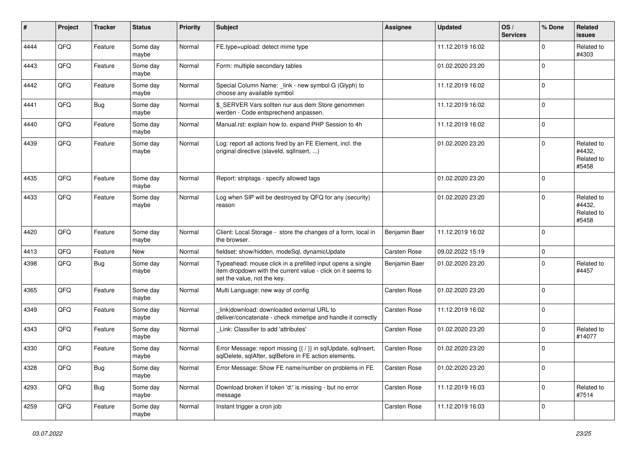| $\#$ | Project | <b>Tracker</b> | <b>Status</b>     | <b>Priority</b> | <b>Subject</b>                                                                                                                                           | <b>Assignee</b> | <b>Updated</b>   | OS/<br><b>Services</b> | % Done      | <b>Related</b><br><b>issues</b>             |
|------|---------|----------------|-------------------|-----------------|----------------------------------------------------------------------------------------------------------------------------------------------------------|-----------------|------------------|------------------------|-------------|---------------------------------------------|
| 4444 | QFQ     | Feature        | Some day<br>maybe | Normal          | FE.type=upload: detect mime type                                                                                                                         |                 | 11.12.2019 16:02 |                        | $\Omega$    | Related to<br>#4303                         |
| 4443 | QFQ     | Feature        | Some day<br>maybe | Normal          | Form: multiple secondary tables                                                                                                                          |                 | 01.02.2020 23:20 |                        | $\mathbf 0$ |                                             |
| 4442 | QFQ     | Feature        | Some day<br>maybe | Normal          | Special Column Name: _link - new symbol G (Glyph) to<br>choose any available symbol                                                                      |                 | 11.12.2019 16:02 |                        | $\mathbf 0$ |                                             |
| 4441 | QFQ     | Bug            | Some day<br>maybe | Normal          | \$ SERVER Vars sollten nur aus dem Store genommen<br>werden - Code entsprechend anpassen.                                                                |                 | 11.12.2019 16:02 |                        | $\mathbf 0$ |                                             |
| 4440 | QFQ     | Feature        | Some day<br>maybe | Normal          | Manual.rst: explain how to. expand PHP Session to 4h                                                                                                     |                 | 11.12.2019 16:02 |                        | $\mathbf 0$ |                                             |
| 4439 | QFQ     | Feature        | Some day<br>maybe | Normal          | Log: report all actions fired by an FE Element, incl. the<br>original directive (slaveld, sqllnsert, )                                                   |                 | 01.02.2020 23:20 |                        | $\mathbf 0$ | Related to<br>#4432,<br>Related to<br>#5458 |
| 4435 | QFQ     | Feature        | Some day<br>maybe | Normal          | Report: striptags - specify allowed tags                                                                                                                 |                 | 01.02.2020 23:20 |                        | $\mathbf 0$ |                                             |
| 4433 | QFQ     | Feature        | Some day<br>maybe | Normal          | Log when SIP will be destroyed by QFQ for any (security)<br>reason                                                                                       |                 | 01.02.2020 23:20 |                        | $\mathbf 0$ | Related to<br>#4432,<br>Related to<br>#5458 |
| 4420 | QFQ     | Feature        | Some day<br>maybe | Normal          | Client: Local Storage - store the changes of a form, local in<br>the browser.                                                                            | Benjamin Baer   | 11.12.2019 16:02 |                        | $\mathbf 0$ |                                             |
| 4413 | QFQ     | Feature        | New               | Normal          | fieldset: show/hidden, modeSql, dynamicUpdate                                                                                                            | Carsten Rose    | 09.02.2022 15:19 |                        | $\mathbf 0$ |                                             |
| 4398 | QFQ     | Bug            | Some day<br>maybe | Normal          | Typeahead: mouse click in a prefilled input opens a single<br>item dropdown with the current value - click on it seems to<br>set the value, not the key. | Benjamin Baer   | 01.02.2020 23:20 |                        | $\mathbf 0$ | Related to<br>#4457                         |
| 4365 | QFQ     | Feature        | Some day<br>maybe | Normal          | Multi Language: new way of config                                                                                                                        | Carsten Rose    | 01.02.2020 23:20 |                        | $\mathbf 0$ |                                             |
| 4349 | QFQ     | Feature        | Some day<br>maybe | Normal          | link download: downloaded external URL to<br>deliver/concatenate - check mimetipe and handle it correctly                                                | Carsten Rose    | 11.12.2019 16:02 |                        | $\mathbf 0$ |                                             |
| 4343 | QFQ     | Feature        | Some day<br>maybe | Normal          | Link: Classifier to add 'attributes'                                                                                                                     | Carsten Rose    | 01.02.2020 23:20 |                        | $\mathbf 0$ | Related to<br>#14077                        |
| 4330 | QFQ     | Feature        | Some day<br>maybe | Normal          | Error Message: report missing {{ / }} in sqlUpdate, sqlInsert,<br>sqlDelete, sqlAfter, sqlBefore in FE action elements.                                  | Carsten Rose    | 01.02.2020 23:20 |                        | $\mathbf 0$ |                                             |
| 4328 | QFQ     | Bug            | Some day<br>maybe | Normal          | Error Message: Show FE name/number on problems in FE                                                                                                     | Carsten Rose    | 01.02.2020 23:20 |                        | $\mathbf 0$ |                                             |
| 4293 | QFQ     | Bug            | Some day<br>maybe | Normal          | Download broken if token 'd:' is missing - but no error<br>message                                                                                       | Carsten Rose    | 11.12.2019 16:03 |                        | $\mathbf 0$ | Related to<br>#7514                         |
| 4259 | QFQ     | Feature        | Some day<br>maybe | Normal          | Instant trigger a cron job                                                                                                                               | Carsten Rose    | 11.12.2019 16:03 |                        | $\mathbf 0$ |                                             |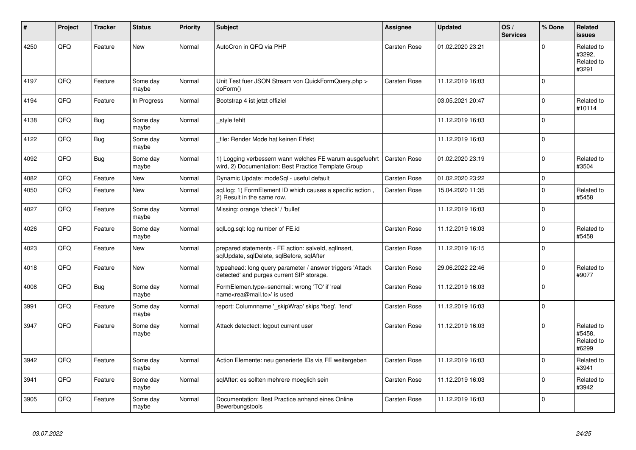| #    | Project | <b>Tracker</b> | <b>Status</b>     | <b>Priority</b> | <b>Subject</b>                                                                                                  | <b>Assignee</b>     | <b>Updated</b>   | OS/<br><b>Services</b> | % Done      | Related<br><b>issues</b>                    |
|------|---------|----------------|-------------------|-----------------|-----------------------------------------------------------------------------------------------------------------|---------------------|------------------|------------------------|-------------|---------------------------------------------|
| 4250 | QFQ     | Feature        | <b>New</b>        | Normal          | AutoCron in QFQ via PHP                                                                                         | Carsten Rose        | 01.02.2020 23:21 |                        | $\Omega$    | Related to<br>#3292,<br>Related to<br>#3291 |
| 4197 | QFQ     | Feature        | Some day<br>maybe | Normal          | Unit Test fuer JSON Stream von QuickFormQuery.php ><br>doForm()                                                 | Carsten Rose        | 11.12.2019 16:03 |                        | $\mathbf 0$ |                                             |
| 4194 | QFQ     | Feature        | In Progress       | Normal          | Bootstrap 4 ist jetzt offiziel                                                                                  |                     | 03.05.2021 20:47 |                        | $\mathbf 0$ | Related to<br>#10114                        |
| 4138 | QFQ     | <b>Bug</b>     | Some day<br>maybe | Normal          | style fehlt                                                                                                     |                     | 11.12.2019 16:03 |                        | $\mathbf 0$ |                                             |
| 4122 | QFQ     | <b>Bug</b>     | Some day<br>maybe | Normal          | file: Render Mode hat keinen Effekt                                                                             |                     | 11.12.2019 16:03 |                        | $\mathbf 0$ |                                             |
| 4092 | QFQ     | <b>Bug</b>     | Some day<br>maybe | Normal          | 1) Logging verbessern wann welches FE warum ausgefuehrt<br>wird, 2) Documentation: Best Practice Template Group | <b>Carsten Rose</b> | 01.02.2020 23:19 |                        | $\mathbf 0$ | Related to<br>#3504                         |
| 4082 | QFQ     | Feature        | New               | Normal          | Dynamic Update: modeSql - useful default                                                                        | Carsten Rose        | 01.02.2020 23:22 |                        | $\mathbf 0$ |                                             |
| 4050 | QFQ     | Feature        | New               | Normal          | sgl.log: 1) FormElement ID which causes a specific action,<br>2) Result in the same row.                        | Carsten Rose        | 15.04.2020 11:35 |                        | $\mathbf 0$ | Related to<br>#5458                         |
| 4027 | QFQ     | Feature        | Some day<br>maybe | Normal          | Missing: orange 'check' / 'bullet'                                                                              |                     | 11.12.2019 16:03 |                        | $\pmb{0}$   |                                             |
| 4026 | QFQ     | Feature        | Some day<br>maybe | Normal          | sqlLog.sql: log number of FE.id                                                                                 | Carsten Rose        | 11.12.2019 16:03 |                        | $\mathbf 0$ | Related to<br>#5458                         |
| 4023 | QFQ     | Feature        | <b>New</b>        | Normal          | prepared statements - FE action: salveld, sqllnsert,<br>sqlUpdate, sqlDelete, sqlBefore, sqlAfter               | Carsten Rose        | 11.12.2019 16:15 |                        | $\mathbf 0$ |                                             |
| 4018 | QFQ     | Feature        | <b>New</b>        | Normal          | typeahead: long query parameter / answer triggers 'Attack<br>detected' and purges current SIP storage.          | Carsten Rose        | 29.06.2022 22:46 |                        | $\Omega$    | Related to<br>#9077                         |
| 4008 | QFQ     | <b>Bug</b>     | Some day<br>maybe | Normal          | FormElemen.type=sendmail: wrong 'TO' if 'real<br>name <rea@mail.to>' is used</rea@mail.to>                      | Carsten Rose        | 11.12.2019 16:03 |                        | $\Omega$    |                                             |
| 3991 | QFQ     | Feature        | Some day<br>maybe | Normal          | report: Columnname '_skipWrap' skips 'fbeg', 'fend'                                                             | Carsten Rose        | 11.12.2019 16:03 |                        | $\pmb{0}$   |                                             |
| 3947 | QFQ     | Feature        | Some day<br>maybe | Normal          | Attack detectect: logout current user                                                                           | Carsten Rose        | 11.12.2019 16:03 |                        | $\Omega$    | Related to<br>#5458.<br>Related to<br>#6299 |
| 3942 | QFQ     | Feature        | Some day<br>maybe | Normal          | Action Elemente: neu generierte IDs via FE weitergeben                                                          | Carsten Rose        | 11.12.2019 16:03 |                        | $\Omega$    | Related to<br>#3941                         |
| 3941 | QFQ     | Feature        | Some day<br>maybe | Normal          | sqlAfter: es sollten mehrere moeglich sein                                                                      | Carsten Rose        | 11.12.2019 16:03 |                        | $\mathbf 0$ | Related to<br>#3942                         |
| 3905 | QFQ     | Feature        | Some day<br>maybe | Normal          | Documentation: Best Practice anhand eines Online<br>Bewerbungstools                                             | Carsten Rose        | 11.12.2019 16:03 |                        | $\Omega$    |                                             |